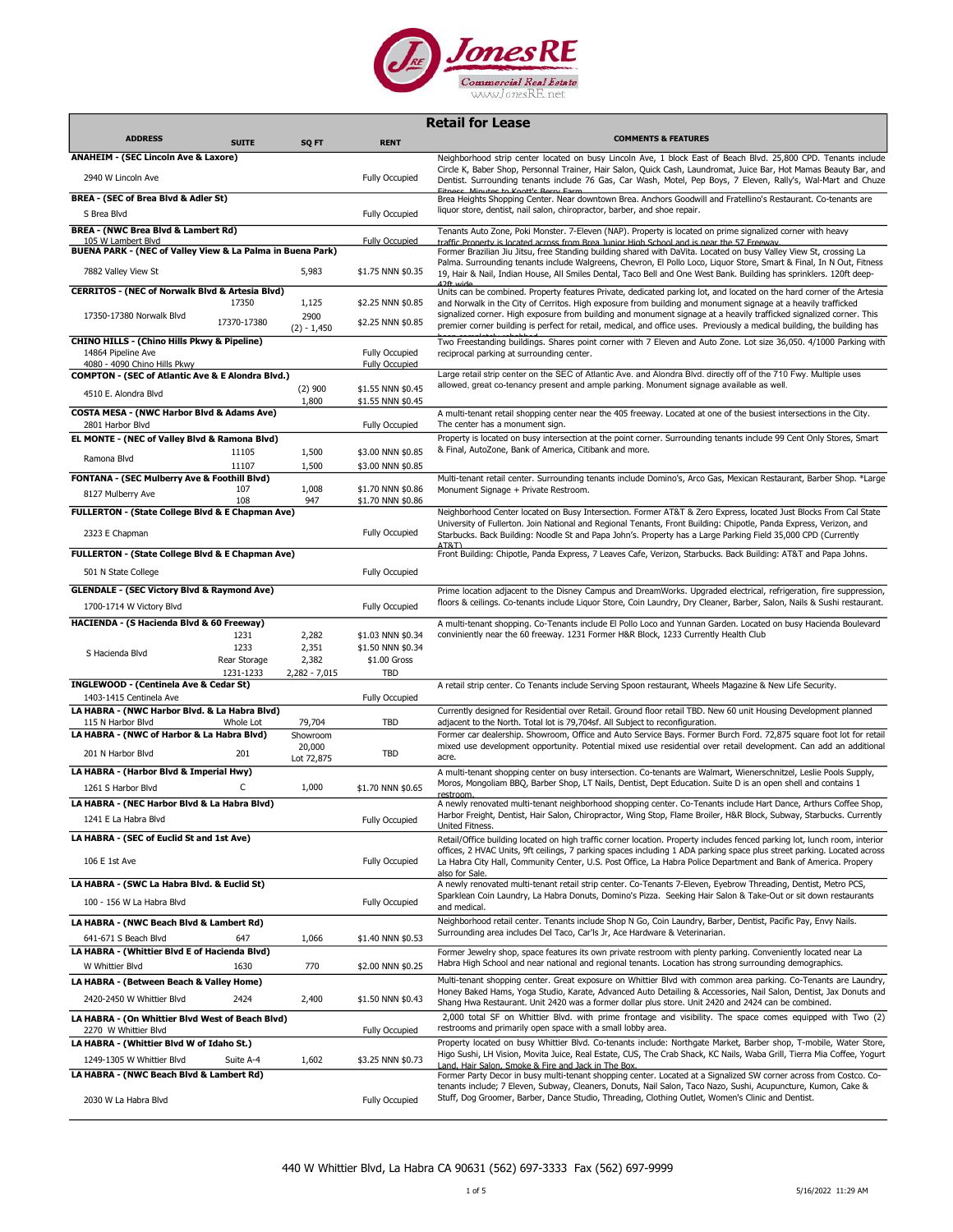

|                                                                                                              |              |                                  |                                                | <b>Retail for Lease</b>                                                                                                                                                                                                                                                                                                                                                                         |
|--------------------------------------------------------------------------------------------------------------|--------------|----------------------------------|------------------------------------------------|-------------------------------------------------------------------------------------------------------------------------------------------------------------------------------------------------------------------------------------------------------------------------------------------------------------------------------------------------------------------------------------------------|
| <b>ADDRESS</b>                                                                                               | <b>SUITE</b> | SQ FT                            | <b>RENT</b>                                    | <b>COMMENTS &amp; FEATURES</b>                                                                                                                                                                                                                                                                                                                                                                  |
| <b>ANAHEIM - (SEC Lincoln Ave &amp; Laxore)</b>                                                              |              |                                  |                                                | Neighborhood strip center located on busy Lincoln Ave, 1 block East of Beach Blvd. 25,800 CPD. Tenants include                                                                                                                                                                                                                                                                                  |
| 2940 W Lincoln Ave                                                                                           |              |                                  | <b>Fully Occupied</b>                          | Circle K, Baber Shop, Personnal Trainer, Hair Salon, Quick Cash, Laundromat, Juice Bar, Hot Mamas Beauty Bar, and<br>Dentist. Surrounding tenants include 76 Gas, Car Wash, Motel, Pep Boys, 7 Eleven, Rally's, Wal-Mart and Chuze<br>Fitnecc Minutes to Knott's Rerry Farm                                                                                                                     |
| BREA - (SEC of Brea Blvd & Adler St)<br>S Brea Blvd                                                          |              |                                  | <b>Fully Occupied</b>                          | Brea Heights Shopping Center. Near downtown Brea. Anchors Goodwill and Fratellino's Restaurant. Co-tenants are<br>liquor store, dentist, nail salon, chiropractor, barber, and shoe repair.                                                                                                                                                                                                     |
| BREA - (NWC Brea Blvd & Lambert Rd)                                                                          |              |                                  |                                                | Tenants Auto Zone, Poki Monster. 7-Eleven (NAP). Property is located on prime signalized corner with heavy                                                                                                                                                                                                                                                                                      |
| 105 W Lambert Blvd                                                                                           |              |                                  | <b>Fully Occupied</b>                          | traffic Property is located across from Brea Junior High School and is near the 57 Freeway.                                                                                                                                                                                                                                                                                                     |
| BUENA PARK - (NEC of Valley View & La Palma in Buena Park)                                                   |              |                                  |                                                | Former Brazilian Jiu Jitsu, free Standing building shared with DaVita. Located on busy Valley View St, crossing La<br>Palma. Surrounding tenants include Walgreens, Chevron, El Pollo Loco, Liquor Store, Smart & Final, In N Out, Fitness                                                                                                                                                      |
| 7882 Valley View St                                                                                          |              | 5,983                            | \$1.75 NNN \$0.35                              | 19, Hair & Nail, Indian House, All Smiles Dental, Taco Bell and One West Bank. Building has sprinklers. 120ft deep-                                                                                                                                                                                                                                                                             |
| <b>CERRITOS - (NEC of Norwalk Blvd &amp; Artesia Blvd)</b>                                                   | 17350        | 1,125                            | \$2.25 NNN \$0.85                              | Units can be combined. Property features Private, dedicated parking lot, and located on the hard corner of the Artesia<br>and Norwalk in the City of Cerritos. High exposure from building and monument signage at a heavily trafficked                                                                                                                                                         |
| 17350-17380 Norwalk Blvd                                                                                     | 17370-17380  | 2900<br>$(2) - 1,450$            | \$2.25 NNN \$0.85                              | signalized corner. High exposure from building and monument signage at a heavily trafficked signalized corner. This<br>premier corner building is perfect for retail, medical, and office uses. Previously a medical building, the building has                                                                                                                                                 |
| <b>CHINO HILLS - (Chino Hills Pkwy &amp; Pipeline)</b><br>14864 Pipeline Ave<br>4080 - 4090 Chino Hills Pkwy |              |                                  | <b>Fully Occupied</b><br><b>Fully Occupied</b> | Two Freestanding buildings. Shares point corner with 7 Eleven and Auto Zone. Lot size 36,050. 4/1000 Parking with<br>reciprocal parking at surrounding center.                                                                                                                                                                                                                                  |
| <b>COMPTON - (SEC of Atlantic Ave &amp; E Alondra Blvd.)</b>                                                 |              |                                  |                                                | Large retail strip center on the SEC of Atlantic Ave. and Alondra Blvd. directly off of the 710 Fwy. Multiple uses                                                                                                                                                                                                                                                                              |
| 4510 E. Alondra Blvd                                                                                         |              | $(2)$ 900                        | \$1.55 NNN \$0.45                              | allowed, great co-tenancy present and ample parking. Monument signage available as well.                                                                                                                                                                                                                                                                                                        |
| COSTA MESA - (NWC Harbor Blvd & Adams Ave)<br>2801 Harbor Blvd                                               |              | 1,800                            | \$1.55 NNN \$0.45<br><b>Fully Occupied</b>     | A multi-tenant retail shopping center near the 405 freeway. Located at one of the busiest intersections in the City.<br>The center has a monument sign.                                                                                                                                                                                                                                         |
| EL MONTE - (NEC of Valley Blvd & Ramona Blvd)                                                                |              |                                  |                                                | Property is located on busy intersection at the point corner. Surrounding tenants include 99 Cent Only Stores, Smart                                                                                                                                                                                                                                                                            |
| Ramona Blvd                                                                                                  | 11105        | 1,500                            | \$3.00 NNN \$0.85                              | & Final, AutoZone, Bank of America, Citibank and more.                                                                                                                                                                                                                                                                                                                                          |
| FONTANA - (SEC Mulberry Ave & Foothill Blvd)                                                                 | 11107        | 1,500                            | \$3.00 NNN \$0.85                              |                                                                                                                                                                                                                                                                                                                                                                                                 |
| 8127 Mulberry Ave                                                                                            | 107<br>108   | 1,008<br>947                     | \$1.70 NNN \$0.86<br>\$1.70 NNN \$0.86         | Multi-tenant retail center. Surrounding tenants include Domino's, Arco Gas, Mexican Restaurant, Barber Shop. *Large<br>Monument Signage + Private Restroom.                                                                                                                                                                                                                                     |
| FULLERTON - (State College Blvd & E Chapman Ave)<br>2323 E Chapman                                           |              |                                  | <b>Fully Occupied</b>                          | Neighborhood Center located on Busy Intersection. Former AT&T & Zero Express, located Just Blocks From Cal State<br>University of Fullerton. Join National and Regional Tenants, Front Building: Chipotle, Panda Express, Verizon, and<br>Starbucks. Back Building: Noodle St and Papa John's. Property has a Large Parking Field 35,000 CPD (Currently                                         |
| FULLERTON - (State College Blvd & E Chapman Ave)                                                             |              |                                  |                                                | Front Building: Chipotle, Panda Express, 7 Leaves Cafe, Verizon, Starbucks. Back Building: AT&T and Papa Johns.                                                                                                                                                                                                                                                                                 |
| 501 N State College                                                                                          |              |                                  | <b>Fully Occupied</b>                          |                                                                                                                                                                                                                                                                                                                                                                                                 |
| <b>GLENDALE - (SEC Victory Blvd &amp; Raymond Ave)</b>                                                       |              |                                  |                                                | Prime location adjacent to the Disney Campus and DreamWorks. Upgraded electrical, refrigeration, fire suppression,                                                                                                                                                                                                                                                                              |
| 1700-1714 W Victory Blvd                                                                                     |              |                                  | <b>Fully Occupied</b>                          | floors & ceilings. Co-tenants include Liquor Store, Coin Laundry, Dry Cleaner, Barber, Salon, Nails & Sushi restaurant.                                                                                                                                                                                                                                                                         |
| HACIENDA - (S Hacienda Blvd & 60 Freeway)                                                                    |              |                                  |                                                | A multi-tenant shopping. Co-Tenants include El Pollo Loco and Yunnan Garden. Located on busy Hacienda Boulevard                                                                                                                                                                                                                                                                                 |
|                                                                                                              | 1231<br>1233 | 2,282<br>2,351                   | \$1.03 NNN \$0.34<br>\$1.50 NNN \$0.34         | conviniently near the 60 freeway. 1231 Former H&R Block, 1233 Currently Health Club                                                                                                                                                                                                                                                                                                             |
| S Hacienda Blvd                                                                                              | Rear Storage | 2,382                            | \$1.00 Gross                                   |                                                                                                                                                                                                                                                                                                                                                                                                 |
|                                                                                                              | 1231-1233    | 2,282 - 7,015                    | <b>TBD</b>                                     |                                                                                                                                                                                                                                                                                                                                                                                                 |
| INGLEWOOD - (Centinela Ave & Cedar St)<br>1403-1415 Centinela Ave                                            |              |                                  | Fully Occupied                                 | A retail strip center. Co Tenants include Serving Spoon restaurant, Wheels Magazine & New Life Security.                                                                                                                                                                                                                                                                                        |
| LA HABRA - (NWC Harbor Blvd. & La Habra Blvd)                                                                |              |                                  |                                                | Currently designed for Residential over Retail. Ground floor retail TBD. New 60 unit Housing Development planned                                                                                                                                                                                                                                                                                |
| 115 N Harbor Blvd                                                                                            | Whole Lot    | 79,704                           | <b>TBD</b>                                     | adjacent to the North. Total lot is 79,704sf. All Subject to reconfiguration.<br>Former car dealership. Showroom, Office and Auto Service Bays. Former Burch Ford. 72,875 square foot lot for retail                                                                                                                                                                                            |
| LA HABRA - (NWC of Harbor & La Habra Blvd)<br>201 N Harbor Blvd                                              | 201          | Showroom<br>20,000<br>Lot 72,875 | <b>TBD</b>                                     | mixed use development opportunity. Potential mixed use residential over retail development. Can add an additional<br>acre.                                                                                                                                                                                                                                                                      |
| LA HABRA - (Harbor Blvd & Imperial Hwy)                                                                      |              |                                  |                                                | A multi-tenant shopping center on busy intersection. Co-tenants are Walmart, Wienerschnitzel, Leslie Pools Supply,                                                                                                                                                                                                                                                                              |
| 1261 S Harbor Blvd                                                                                           | С            | 1,000                            | \$1.70 NNN \$0.65                              | Moros, Mongoliam BBQ, Barber Shop, LT Nails, Dentist, Dept Education. Suite D is an open shell and contains 1<br>restroom.                                                                                                                                                                                                                                                                      |
| LA HABRA - (NEC Harbor Blvd & La Habra Blvd)                                                                 |              |                                  |                                                | A newly renovated multi-tenant neighborhood shopping center. Co-Tenants include Hart Dance, Arthurs Coffee Shop,                                                                                                                                                                                                                                                                                |
| 1241 E La Habra Blvd                                                                                         |              |                                  | Fully Occupied                                 | Harbor Freight, Dentist, Hair Salon, Chiropractor, Wing Stop, Flame Broiler, H&R Block, Subway, Starbucks. Currently<br>United Fitness.                                                                                                                                                                                                                                                         |
| LA HABRA - (SEC of Euclid St and 1st Ave)                                                                    |              |                                  |                                                | Retail/Office building located on high traffic corner location. Property includes fenced parking lot, lunch room, interior                                                                                                                                                                                                                                                                      |
| 106 E 1st Ave                                                                                                |              |                                  | <b>Fully Occupied</b>                          | offices, 2 HVAC Units, 9ft ceilings, 7 parking spaces including 1 ADA parking space plus street parking. Located across<br>La Habra City Hall, Community Center, U.S. Post Office, La Habra Police Department and Bank of America. Propery<br>also for Sale.                                                                                                                                    |
| LA HABRA - (SWC La Habra Blvd. & Euclid St)                                                                  |              |                                  |                                                | A newly renovated multi-tenant retail strip center. Co-Tenants 7-Eleven, Eyebrow Threading, Dentist, Metro PCS,                                                                                                                                                                                                                                                                                 |
| 100 - 156 W La Habra Blvd                                                                                    |              |                                  | <b>Fully Occupied</b>                          | Sparklean Coin Laundry, La Habra Donuts, Domino's Pizza. Seeking Hair Salon & Take-Out or sit down restaurants<br>and medical.                                                                                                                                                                                                                                                                  |
| LA HABRA - (NWC Beach Blvd & Lambert Rd)                                                                     |              |                                  |                                                | Neighborhood retail center. Tenants include Shop N Go, Coin Laundry, Barber, Dentist, Pacific Pay, Envy Nails.<br>Surrounding area includes Del Taco, Car'ls Jr, Ace Hardware & Veterinarian.                                                                                                                                                                                                   |
| 641-671 S Beach Blvd<br>LA HABRA - (Whittier Blvd E of Hacienda Blvd)                                        | 647          | 1,066                            | \$1.40 NNN \$0.53                              | Former Jewelry shop, space features its own private restroom with plenty parking. Conveniently located near La                                                                                                                                                                                                                                                                                  |
| W Whittier Blvd                                                                                              | 1630         | 770                              | \$2.00 NNN \$0.25                              | Habra High School and near national and regional tenants. Location has strong surrounding demographics.                                                                                                                                                                                                                                                                                         |
| LA HABRA - (Between Beach & Valley Home)                                                                     |              |                                  |                                                | Multi-tenant shopping center. Great exposure on Whittier Blvd with common area parking. Co-Tenants are Laundry,                                                                                                                                                                                                                                                                                 |
| 2420-2450 W Whittier Blvd                                                                                    | 2424         | 2,400                            | \$1.50 NNN \$0.43                              | Honey Baked Hams, Yoga Studio, Karate, Advanced Auto Detailing & Accessories, Nail Salon, Dentist, Jax Donuts and<br>Shang Hwa Restaurant. Unit 2420 was a former dollar plus store. Unit 2420 and 2424 can be combined.                                                                                                                                                                        |
| LA HABRA - (On Whittier Blvd West of Beach Blvd)<br>2270 W Whittier Blvd                                     |              |                                  | <b>Fully Occupied</b>                          | 2,000 total SF on Whittier Blvd. with prime frontage and visibility. The space comes equipped with Two (2)<br>restrooms and primarily open space with a small lobby area.                                                                                                                                                                                                                       |
| LA HABRA - (Whittier Blvd W of Idaho St.)                                                                    |              |                                  |                                                | Property located on busy Whittier Blvd. Co-tenants include: Northgate Market, Barber shop, T-mobile, Water Store,                                                                                                                                                                                                                                                                               |
|                                                                                                              |              |                                  |                                                |                                                                                                                                                                                                                                                                                                                                                                                                 |
| 1249-1305 W Whittier Blvd                                                                                    | Suite A-4    | 1,602                            | \$3.25 NNN \$0.73                              | Higo Sushi, LH Vision, Movita Juice, Real Estate, CUS, The Crab Shack, KC Nails, Waba Grill, Tierra Mia Coffee, Yogurt                                                                                                                                                                                                                                                                          |
| LA HABRA - (NWC Beach Blvd & Lambert Rd)                                                                     |              |                                  |                                                | Land, Hair Salon, Smoke & Fire and Jack in The Box.<br>Former Party Decor in busy multi-tenant shopping center. Located at a Signalized SW corner across from Costco. Co-<br>tenants include; 7 Eleven, Subway, Cleaners, Donuts, Nail Salon, Taco Nazo, Sushi, Acupuncture, Kumon, Cake &<br>Stuff, Dog Groomer, Barber, Dance Studio, Threading, Clothing Outlet, Women's Clinic and Dentist. |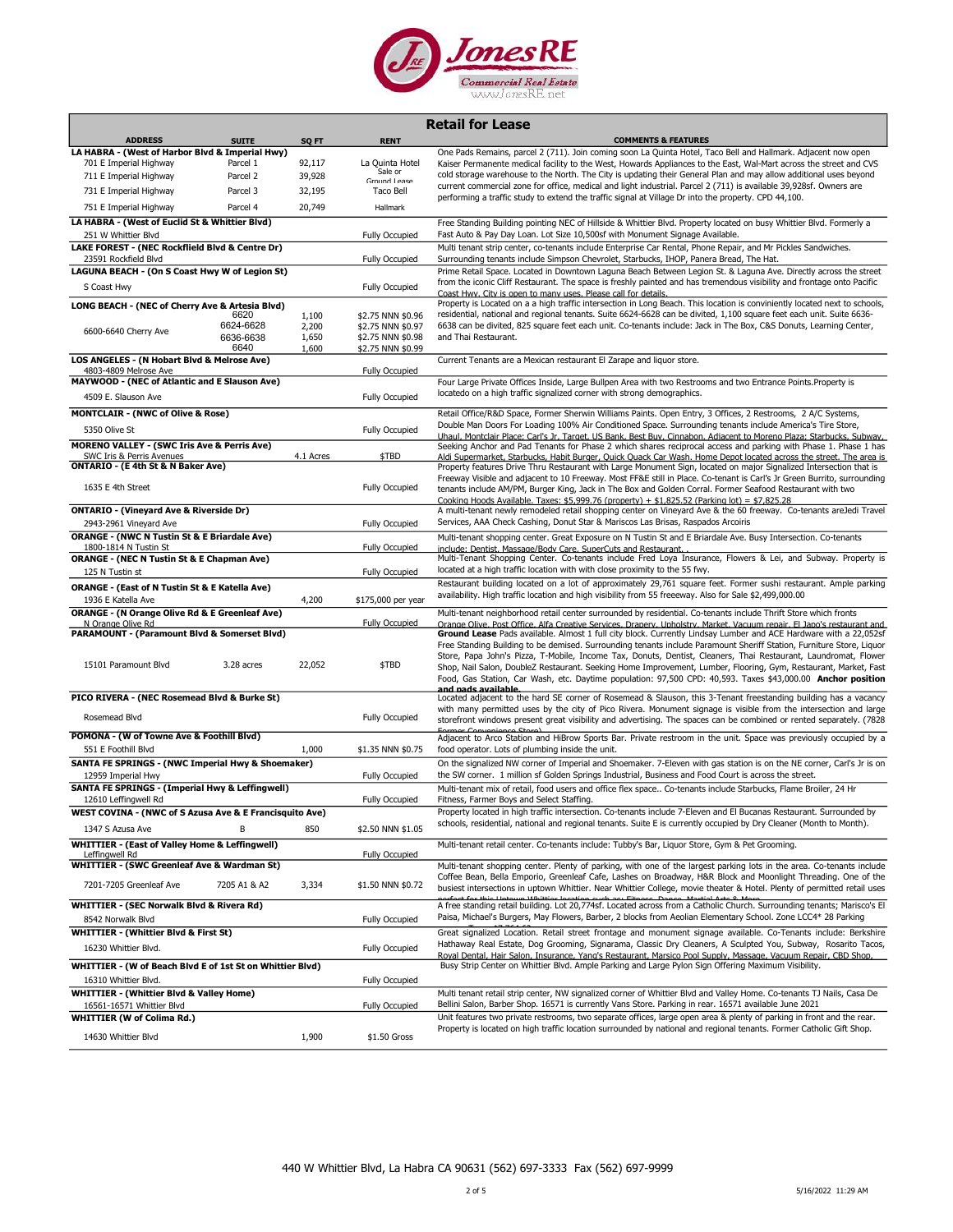

| <b>Retail for Lease</b>                                                             |                        |                  |                                        |                                                                                                                                                                                                                                            |
|-------------------------------------------------------------------------------------|------------------------|------------------|----------------------------------------|--------------------------------------------------------------------------------------------------------------------------------------------------------------------------------------------------------------------------------------------|
| <b>ADDRESS</b>                                                                      | <b>SUITE</b>           | SQ FT            | <b>RENT</b>                            | <b>COMMENTS &amp; FEATURES</b>                                                                                                                                                                                                             |
| LA HABRA - (West of Harbor Blvd & Imperial Hwy)                                     | Parcel 1               |                  | La Ouinta Hotel                        | One Pads Remains, parcel 2 (711). Join coming soon La Quinta Hotel, Taco Bell and Hallmark. Adjacent now open                                                                                                                              |
| 701 E Imperial Highway<br>711 E Imperial Highway                                    | Parcel 2               | 92,117<br>39,928 | Sale or                                | Kaiser Permanente medical facility to the West, Howards Appliances to the East, Wal-Mart across the street and CVS<br>cold storage warehouse to the North. The City is updating their General Plan and may allow additional uses beyond    |
| 731 E Imperial Highway                                                              | Parcel 3               | 32,195           | Ground Lease<br>Taco Bell              | current commercial zone for office, medical and light industrial. Parcel 2 (711) is available 39,928sf. Owners are                                                                                                                         |
| 751 E Imperial Highway                                                              | Parcel 4               | 20,749           | Hallmark                               | performing a traffic study to extend the traffic signal at Village Dr into the property. CPD 44,100.                                                                                                                                       |
| LA HABRA - (West of Euclid St & Whittier Blvd)                                      |                        |                  |                                        |                                                                                                                                                                                                                                            |
| 251 W Whittier Blvd                                                                 |                        |                  | <b>Fully Occupied</b>                  | Free Standing Building pointing NEC of Hillside & Whittier Blvd. Property located on busy Whittier Blvd. Formerly a<br>Fast Auto & Pay Day Loan. Lot Size 10,500sf with Monument Signage Available.                                        |
| LAKE FOREST - (NEC Rockflield Blvd & Centre Dr)                                     |                        |                  |                                        | Multi tenant strip center, co-tenants include Enterprise Car Rental, Phone Repair, and Mr Pickles Sandwiches.                                                                                                                              |
| 23591 Rockfield Blvd                                                                |                        |                  | <b>Fully Occupied</b>                  | Surrounding tenants include Simpson Chevrolet, Starbucks, IHOP, Panera Bread, The Hat.                                                                                                                                                     |
| LAGUNA BEACH - (On S Coast Hwy W of Legion St)                                      |                        |                  |                                        | Prime Retail Space. Located in Downtown Laguna Beach Between Legion St. & Laguna Ave. Directly across the street                                                                                                                           |
| S Coast Hwy                                                                         |                        |                  | <b>Fully Occupied</b>                  | from the iconic Cliff Restaurant. The space is freshly painted and has tremendous visibility and frontage onto Pacific<br>Coast Hwy. City is open to many uses. Please call for details.                                                   |
| LONG BEACH - (NEC of Cherry Ave & Artesia Blvd)                                     |                        |                  |                                        | Property is Located on a a high traffic intersection in Long Beach. This location is conviniently located next to schools,                                                                                                                 |
|                                                                                     | 6620                   | 1,100            | \$2.75 NNN \$0.96                      | residential, national and regional tenants. Suite 6624-6628 can be divited, 1,100 square feet each unit. Suite 6636-                                                                                                                       |
| 6600-6640 Cherry Ave                                                                | 6624-6628<br>6636-6638 | 2,200<br>1,650   | \$2.75 NNN \$0.97<br>\$2.75 NNN \$0.98 | 6638 can be divited, 825 square feet each unit. Co-tenants include: Jack in The Box, C&S Donuts, Learning Center,<br>and Thai Restaurant.                                                                                                  |
|                                                                                     | 6640                   | 1,600            | \$2.75 NNN \$0.99                      |                                                                                                                                                                                                                                            |
| LOS ANGELES - (N Hobart Blvd & Melrose Ave)                                         |                        |                  |                                        | Current Tenants are a Mexican restaurant El Zarape and liquor store.                                                                                                                                                                       |
| 4803-4809 Melrose Ave<br>MAYWOOD - (NEC of Atlantic and E Slauson Ave)              |                        |                  | <b>Fully Occupied</b>                  | Four Large Private Offices Inside, Large Bullpen Area with two Restrooms and two Entrance Points. Property is                                                                                                                              |
| 4509 E. Slauson Ave                                                                 |                        |                  | <b>Fully Occupied</b>                  | locatedo on a high traffic signalized corner with strong demographics.                                                                                                                                                                     |
| <b>MONTCLAIR - (NWC of Olive &amp; Rose)</b>                                        |                        |                  |                                        | Retail Office/R&D Space, Former Sherwin Williams Paints. Open Entry, 3 Offices, 2 Restrooms, 2 A/C Systems,                                                                                                                                |
| 5350 Olive St                                                                       |                        |                  |                                        | Double Man Doors For Loading 100% Air Conditioned Space. Surrounding tenants include America's Tire Store,                                                                                                                                 |
|                                                                                     |                        |                  | <b>Fully Occupied</b>                  | Uhaul. Montclair Place: Carl's Jr. Target. US Bank. Best Buv. Cinnabon. Adiacent to Moreno Plaza: Starbucks. Subwav.                                                                                                                       |
| <b>MORENO VALLEY - (SWC Iris Ave &amp; Perris Ave)</b><br>SWC Iris & Perris Avenues |                        | 4.1 Acres        | \$TBD                                  | Seeking Anchor and Pad Tenants for Phase 2 which shares reciprocal access and parking with Phase 1. Phase 1 has<br>Aldi Supermarket, Starbucks, Habit Burger, Ouick Ouack Car Wash, Home Depot located across the street. The area is      |
| ONTARIO - (E 4th St & N Baker Ave)                                                  |                        |                  |                                        | Property features Drive Thru Restaurant with Large Monument Sign, located on major Signalized Intersection that is                                                                                                                         |
| 1635 E 4th Street                                                                   |                        |                  | <b>Fully Occupied</b>                  | Freeway Visible and adjacent to 10 Freeway. Most FF&E still in Place. Co-tenant is Carl's Jr Green Burrito, surrounding                                                                                                                    |
|                                                                                     |                        |                  |                                        | tenants include AM/PM, Burger King, Jack in The Box and Golden Corral. Former Seafood Restaurant with two<br>Cooking Hoods Available. Taxes: \$5,999.76 (property) + \$1,825.52 (Parking lot) = \$7,825.28                                 |
| <b>ONTARIO - (Vineyard Ave &amp; Riverside Dr)</b>                                  |                        |                  |                                        | A multi-tenant newly remodeled retail shopping center on Vineyard Ave & the 60 freeway. Co-tenants areJedi Travel                                                                                                                          |
| 2943-2961 Vineyard Ave                                                              |                        |                  | <b>Fully Occupied</b>                  | Services, AAA Check Cashing, Donut Star & Mariscos Las Brisas, Raspados Arcoiris                                                                                                                                                           |
| <b>ORANGE - (NWC N Tustin St &amp; E Briardale Ave)</b>                             |                        |                  |                                        | Multi-tenant shopping center. Great Exposure on N Tustin St and E Briardale Ave. Busy Intersection. Co-tenants                                                                                                                             |
| 1800-1814 N Tustin St<br><b>ORANGE - (NEC N Tustin St &amp; E Chapman Ave)</b>      |                        |                  | <b>Fully Occupied</b>                  | include: Dentist, Massage/Body Care, SuperCuts and Restaurant.<br>Multi-Tenant Shopping Center. Co-tenants include Fred Loya Insurance, Flowers & Lei, and Subway. Property is                                                             |
| 125 N Tustin st                                                                     |                        |                  | <b>Fully Occupied</b>                  | located at a high traffic location with with close proximity to the 55 fwy.                                                                                                                                                                |
| <b>ORANGE - (East of N Tustin St &amp; E Katella Ave)</b>                           |                        |                  |                                        | Restaurant building located on a lot of approximately 29,761 square feet. Former sushi restaurant. Ample parking                                                                                                                           |
| 1936 E Katella Ave                                                                  |                        | 4,200            | \$175,000 per year                     | availability. High traffic location and high visibility from 55 freeeway. Also for Sale \$2,499,000.00                                                                                                                                     |
| ORANGE - (N Orange Olive Rd & E Greenleaf Ave)                                      |                        |                  |                                        | Multi-tenant neighborhood retail center surrounded by residential. Co-tenants include Thrift Store which fronts                                                                                                                            |
| N Orange Olive Rd<br>PARAMOUNT - (Paramount Blvd & Somerset Blvd)                   |                        |                  | <b>Fully Occupied</b>                  | Orange Olive. Post Office. Alfa Creative Services. Drapery. Upholstry. Market. Vacuum repair. El Japo's restaurant and<br>Ground Lease Pads available. Almost 1 full city block. Currently Lindsay Lumber and ACE Hardware with a 22,052sf |
|                                                                                     |                        |                  |                                        | Free Standing Building to be demised. Surrounding tenants include Paramount Sheriff Station, Furniture Store, Liquor                                                                                                                       |
| 15101 Paramount Blvd                                                                | 3.28 acres             | 22,052           | \$TBD                                  | Store, Papa John's Pizza, T-Mobile, Income Tax, Donuts, Dentist, Cleaners, Thai Restaurant, Laundromat, Flower                                                                                                                             |
|                                                                                     |                        |                  |                                        | Shop, Nail Salon, DoubleZ Restaurant. Seeking Home Improvement, Lumber, Flooring, Gym, Restaurant, Market, Fast<br>Food, Gas Station, Car Wash, etc. Daytime population: 97,500 CPD: 40,593. Taxes \$43,000.00 Anchor position             |
|                                                                                     |                        |                  |                                        | and nads available                                                                                                                                                                                                                         |
| PICO RIVERA - (NEC Rosemead Blvd & Burke St)                                        |                        |                  |                                        | Located adjacent to the hard SE corner of Rosemead & Slauson, this 3-Tenant freestanding building has a vacancy<br>with many permitted uses by the city of Pico Rivera. Monument signage is visible from the intersection and large        |
| Rosemead Blvd                                                                       |                        |                  | <b>Fully Occupied</b>                  | storefront windows present great visibility and advertising. The spaces can be combined or rented separately. (7828                                                                                                                        |
| POMONA - (W of Towne Ave & Foothill Blvd)                                           |                        |                  |                                        | Former Convenience Store<br>Adjacent to Arco Station and HiBrow Sports Bar. Private restroom in the unit. Space was previously occupied by a                                                                                               |
| 551 E Foothill Blvd                                                                 |                        | 1,000            | \$1.35 NNN \$0.75                      | food operator. Lots of plumbing inside the unit.                                                                                                                                                                                           |
| SANTA FE SPRINGS - (NWC Imperial Hwy & Shoemaker)                                   |                        |                  |                                        | On the signalized NW corner of Imperial and Shoemaker. 7-Eleven with gas station is on the NE corner, Carl's Jr is on                                                                                                                      |
| 12959 Imperial Hwy                                                                  |                        |                  | <b>Fully Occupied</b>                  | the SW corner. 1 million sf Golden Springs Industrial, Business and Food Court is across the street.                                                                                                                                       |
| SANTA FE SPRINGS - (Imperial Hwy & Leffingwell)                                     |                        |                  |                                        | Multi-tenant mix of retail, food users and office flex space Co-tenants include Starbucks, Flame Broiler, 24 Hr                                                                                                                            |
| 12610 Leffingwell Rd<br>WEST COVINA - (NWC of S Azusa Ave & E Francisquito Ave)     |                        |                  | <b>Fully Occupied</b>                  | Fitness, Farmer Boys and Select Staffing.<br>Property located in high traffic intersection. Co-tenants include 7-Eleven and El Bucanas Restaurant. Surrounded by                                                                           |
| 1347 S Azusa Ave                                                                    | В                      | 850              | \$2.50 NNN \$1.05                      | schools, residential, national and regional tenants. Suite E is currently occupied by Dry Cleaner (Month to Month).                                                                                                                        |
| <b>WHITTIER - (East of Valley Home &amp; Leffingwell)</b>                           |                        |                  |                                        | Multi-tenant retail center. Co-tenants include: Tubby's Bar, Liquor Store, Gym & Pet Grooming.                                                                                                                                             |
| Leffingwell Rd                                                                      |                        |                  | <b>Fully Occupied</b>                  |                                                                                                                                                                                                                                            |
| <b>WHITTIER - (SWC Greenleaf Ave &amp; Wardman St)</b>                              |                        |                  |                                        | Multi-tenant shopping center. Plenty of parking, with one of the largest parking lots in the area. Co-tenants include                                                                                                                      |
| 7201-7205 Greenleaf Ave                                                             | 7205 A1 & A2           | 3,334            | \$1.50 NNN \$0.72                      | Coffee Bean, Bella Emporio, Greenleaf Cafe, Lashes on Broadway, H&R Block and Moonlight Threading. One of the<br>busiest intersections in uptown Whittier. Near Whittier College, movie theater & Hotel. Plenty of permitted retail uses   |
|                                                                                     |                        |                  |                                        |                                                                                                                                                                                                                                            |
| WHITTIER - (SEC Norwalk Blvd & Rivera Rd)                                           |                        |                  |                                        | A free standing retail building. Lot 20,774sf. Located across from a Catholic Church. Surrounding tenants; Marisco's El<br>Paisa, Michael's Burgers, May Flowers, Barber, 2 blocks from Aeolian Elementary School. Zone LCC4* 28 Parking   |
| 8542 Norwalk Blvd<br><b>WHITTIER - (Whittier Blvd &amp; First St)</b>               |                        |                  | <b>Fully Occupied</b>                  | Great signalized Location. Retail street frontage and monument signage available. Co-Tenants include: Berkshire                                                                                                                            |
|                                                                                     |                        |                  |                                        | Hathaway Real Estate, Dog Grooming, Signarama, Classic Dry Cleaners, A Sculpted You, Subway, Rosarito Tacos,                                                                                                                               |
| 16230 Whittier Blvd.                                                                |                        |                  | <b>Fully Occupied</b>                  | Roval Dental, Hair Salon, Insurance, Yang's Restaurant, Marsico Pool Supply, Massage, Vacuum Repair, CBD Shop,                                                                                                                             |
| WHITTIER - (W of Beach Blvd E of 1st St on Whittier Blvd)                           |                        |                  |                                        | Busy Strip Center on Whittier Blvd. Ample Parking and Large Pylon Sign Offering Maximum Visibility.                                                                                                                                        |
| 16310 Whittier Blvd.                                                                |                        |                  | <b>Fully Occupied</b>                  |                                                                                                                                                                                                                                            |
| <b>WHITTIER - (Whittier Blvd &amp; Valley Home)</b><br>16561-16571 Whittier Blvd    |                        |                  | <b>Fully Occupied</b>                  | Multi tenant retail strip center, NW signalized corner of Whittier Blvd and Valley Home. Co-tenants TJ Nails, Casa De<br>Bellini Salon, Barber Shop. 16571 is currently Vans Store. Parking in rear. 16571 available June 2021             |
| <b>WHITTIER (W of Colima Rd.)</b>                                                   |                        |                  |                                        | Unit features two private restrooms, two separate offices, large open area & plenty of parking in front and the rear.                                                                                                                      |
| 14630 Whittier Blvd                                                                 |                        | 1,900            | \$1.50 Gross                           | Property is located on high traffic location surrounded by national and regional tenants. Former Catholic Gift Shop.                                                                                                                       |
|                                                                                     |                        |                  |                                        |                                                                                                                                                                                                                                            |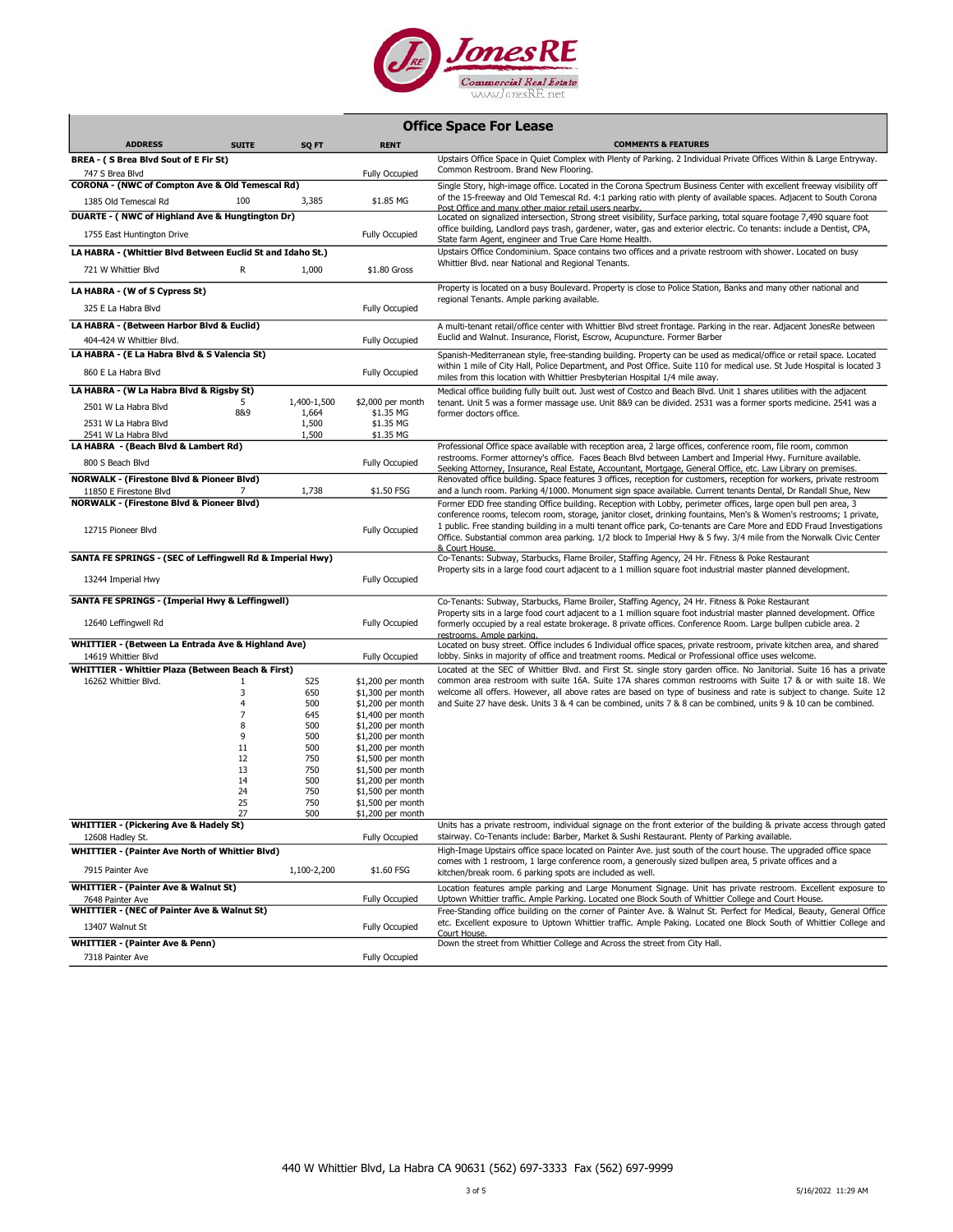

## Office Space For Lease

| <b>ADDRESS</b>                                                                 | <b>SUITE</b>        | SQ FT          | <b>RENT</b>                            | <b>COMMENTS &amp; FEATURES</b>                                                                                                                                                                                                                                                                                                                                                      |
|--------------------------------------------------------------------------------|---------------------|----------------|----------------------------------------|-------------------------------------------------------------------------------------------------------------------------------------------------------------------------------------------------------------------------------------------------------------------------------------------------------------------------------------------------------------------------------------|
| BREA - (S Brea Blvd Sout of E Fir St)                                          |                     |                |                                        | Upstairs Office Space in Quiet Complex with Plenty of Parking. 2 Individual Private Offices Within & Large Entryway.                                                                                                                                                                                                                                                                |
| 747 S Brea Blvd                                                                |                     |                | <b>Fully Occupied</b>                  | Common Restroom. Brand New Flooring.                                                                                                                                                                                                                                                                                                                                                |
| CORONA - (NWC of Compton Ave & Old Temescal Rd)                                |                     |                |                                        | Single Story, high-image office. Located in the Corona Spectrum Business Center with excellent freeway visibility off                                                                                                                                                                                                                                                               |
| 1385 Old Temescal Rd                                                           | 100                 | 3,385          | \$1.85 MG                              | of the 15-freeway and Old Temescal Rd. 4:1 parking ratio with plenty of available spaces. Adjacent to South Corona                                                                                                                                                                                                                                                                  |
| DUARTE - (NWC of Highland Ave & Hungtington Dr)                                |                     |                |                                        | Post Office and many other major retail users nearby<br>Located on signalized intersection, Strong street visibility, Surface parking, total square footage 7,490 square foot                                                                                                                                                                                                       |
| 1755 East Huntington Drive                                                     |                     |                | <b>Fully Occupied</b>                  | office building, Landlord pays trash, gardener, water, gas and exterior electric. Co tenants: include a Dentist, CPA,<br>State farm Agent, engineer and True Care Home Health.                                                                                                                                                                                                      |
| LA HABRA - (Whittier Blvd Between Euclid St and Idaho St.)                     |                     |                |                                        | Upstairs Office Condominium. Space contains two offices and a private restroom with shower. Located on busy                                                                                                                                                                                                                                                                         |
| 721 W Whittier Blvd                                                            | R                   | 1,000          | \$1.80 Gross                           | Whittier Blvd. near National and Regional Tenants.                                                                                                                                                                                                                                                                                                                                  |
| LA HABRA - (W of S Cypress St)                                                 |                     |                |                                        | Property is located on a busy Boulevard. Property is close to Police Station, Banks and many other national and                                                                                                                                                                                                                                                                     |
| 325 E La Habra Blvd                                                            |                     |                | <b>Fully Occupied</b>                  | regional Tenants. Ample parking available.                                                                                                                                                                                                                                                                                                                                          |
| LA HABRA - (Between Harbor Blvd & Euclid)                                      |                     |                |                                        | A multi-tenant retail/office center with Whittier Blvd street frontage. Parking in the rear. Adjacent JonesRe between                                                                                                                                                                                                                                                               |
| 404-424 W Whittier Blvd.                                                       |                     |                | <b>Fully Occupied</b>                  | Euclid and Walnut. Insurance, Florist, Escrow, Acupuncture. Former Barber                                                                                                                                                                                                                                                                                                           |
| LA HABRA - (E La Habra Blvd & S Valencia St)                                   |                     |                |                                        | Spanish-Mediterranean style, free-standing building. Property can be used as medical/office or retail space. Located                                                                                                                                                                                                                                                                |
| 860 E La Habra Blvd                                                            |                     |                | Fully Occupied                         | within 1 mile of City Hall, Police Department, and Post Office. Suite 110 for medical use. St Jude Hospital is located 3<br>miles from this location with Whittier Presbyterian Hospital 1/4 mile away.                                                                                                                                                                             |
| LA HABRA - (W La Habra Blvd & Rigsby St)                                       |                     |                |                                        | Medical office building fully built out. Just west of Costco and Beach Blvd. Unit 1 shares utilities with the adjacent                                                                                                                                                                                                                                                              |
| 2501 W La Habra Blvd                                                           | 5<br>8&9            | 1,400-1,500    | \$2,000 per month<br>\$1.35 MG         | tenant. Unit 5 was a former massage use. Unit 8&9 can be divided. 2531 was a former sports medicine. 2541 was a                                                                                                                                                                                                                                                                     |
| 2531 W La Habra Blvd                                                           |                     | 1,664<br>1,500 | \$1.35 MG                              | former doctors office.                                                                                                                                                                                                                                                                                                                                                              |
| 2541 W La Habra Blvd                                                           |                     | 1,500          | \$1.35 MG                              |                                                                                                                                                                                                                                                                                                                                                                                     |
| LA HABRA - (Beach Blvd & Lambert Rd)                                           |                     |                |                                        | Professional Office space available with reception area, 2 large offices, conference room, file room, common                                                                                                                                                                                                                                                                        |
| 800 S Beach Blvd                                                               |                     |                | <b>Fully Occupied</b>                  | restrooms. Former attorney's office. Faces Beach Blvd between Lambert and Imperial Hwy. Furniture available.<br>Seeking Attorney, Insurance, Real Estate, Accountant, Mortgage, General Office, etc. Law Library on premises.                                                                                                                                                       |
| <b>NORWALK - (Firestone Blvd &amp; Pioneer Blvd)</b>                           | 7                   | 1,738          | \$1.50 FSG                             | Renovated office building. Space features 3 offices, reception for customers, reception for workers, private restroom                                                                                                                                                                                                                                                               |
| 11850 E Firestone Blvd<br><b>NORWALK - (Firestone Blvd &amp; Pioneer Blvd)</b> |                     |                |                                        | and a lunch room. Parking 4/1000. Monument sign space available. Current tenants Dental, Dr Randall Shue, New<br>Former EDD free standing Office building. Reception with Lobby, perimeter offices, large open bull pen area, 3                                                                                                                                                     |
| 12715 Pioneer Blvd                                                             |                     |                | <b>Fully Occupied</b>                  | conference rooms, telecom room, storage, janitor closet, drinking fountains, Men's & Women's restrooms; 1 private,<br>1 public. Free standing building in a multi tenant office park, Co-tenants are Care More and EDD Fraud Investigations<br>Office. Substantial common area parking. 1/2 block to Imperial Hwy & 5 fwy. 3/4 mile from the Norwalk Civic Center<br>& Court House. |
| SANTA FE SPRINGS - (SEC of Leffingwell Rd & Imperial Hwy)                      |                     |                |                                        | Co-Tenants: Subway, Starbucks, Flame Broiler, Staffing Agency, 24 Hr. Fitness & Poke Restaurant                                                                                                                                                                                                                                                                                     |
| 13244 Imperial Hwy                                                             |                     |                | <b>Fully Occupied</b>                  | Property sits in a large food court adjacent to a 1 million square foot industrial master planned development.                                                                                                                                                                                                                                                                      |
| SANTA FE SPRINGS - (Imperial Hwy & Leffingwell)                                |                     |                |                                        | Co-Tenants: Subway, Starbucks, Flame Broiler, Staffing Agency, 24 Hr. Fitness & Poke Restaurant                                                                                                                                                                                                                                                                                     |
| 12640 Leffingwell Rd                                                           |                     |                | <b>Fully Occupied</b>                  | Property sits in a large food court adjacent to a 1 million square foot industrial master planned development. Office<br>formerly occupied by a real estate brokerage. 8 private offices. Conference Room. Large bullpen cubicle area. 2<br>restrooms. Ample parking.                                                                                                               |
| WHITTIER - (Between La Entrada Ave & Highland Ave)                             |                     |                |                                        | Located on busy street. Office includes 6 Individual office spaces, private restroom, private kitchen area, and shared                                                                                                                                                                                                                                                              |
| 14619 Whittier Blvd                                                            |                     |                | <b>Fully Occupied</b>                  | lobby. Sinks in majority of office and treatment rooms. Medical or Professional office uses welcome.                                                                                                                                                                                                                                                                                |
| WHITTIER - Whittier Plaza (Between Beach & First)                              |                     |                |                                        | Located at the SEC of Whittier Blvd. and First St. single story garden office. No Janitorial. Suite 16 has a private                                                                                                                                                                                                                                                                |
| 16262 Whittier Blvd.                                                           | 1                   | 525            | \$1,200 per month                      | common area restroom with suite 16A. Suite 17A shares common restrooms with Suite 17 & or with suite 18. We                                                                                                                                                                                                                                                                         |
|                                                                                | 3<br>$\overline{4}$ | 650            | \$1,300 per month                      | welcome all offers. However, all above rates are based on type of business and rate is subject to change. Suite 12                                                                                                                                                                                                                                                                  |
|                                                                                | $\overline{7}$      | 500<br>645     | \$1,200 per month<br>\$1,400 per month | and Suite 27 have desk. Units 3 & 4 can be combined, units 7 & 8 can be combined, units 9 & 10 can be combined.                                                                                                                                                                                                                                                                     |
|                                                                                | 8                   | 500            | \$1,200 per month                      |                                                                                                                                                                                                                                                                                                                                                                                     |
|                                                                                | 9                   | 500            | \$1,200 per month                      |                                                                                                                                                                                                                                                                                                                                                                                     |
|                                                                                | 11                  | 500            | \$1,200 per month                      |                                                                                                                                                                                                                                                                                                                                                                                     |
|                                                                                | 12                  | 750            | \$1,500 per month                      |                                                                                                                                                                                                                                                                                                                                                                                     |
|                                                                                | 13                  | 750            | \$1,500 per month                      |                                                                                                                                                                                                                                                                                                                                                                                     |
|                                                                                | 14<br>24            | 500            | \$1,200 per month                      |                                                                                                                                                                                                                                                                                                                                                                                     |
|                                                                                | 25                  | 750<br>750     | \$1,500 per month<br>\$1,500 per month |                                                                                                                                                                                                                                                                                                                                                                                     |
|                                                                                | 27                  | 500            | \$1,200 per month                      |                                                                                                                                                                                                                                                                                                                                                                                     |
| <b>WHITTIER - (Pickering Ave &amp; Hadely St)</b>                              |                     |                |                                        | Units has a private restroom, individual signage on the front exterior of the building & private access through gated                                                                                                                                                                                                                                                               |
| 12608 Hadley St.                                                               |                     |                | <b>Fully Occupied</b>                  | stairway. Co-Tenants include: Barber, Market & Sushi Restaurant. Plenty of Parking available.                                                                                                                                                                                                                                                                                       |
| <b>WHITTIER - (Painter Ave North of Whittier Blvd)</b>                         |                     |                |                                        | High-Image Upstairs office space located on Painter Ave. just south of the court house. The upgraded office space                                                                                                                                                                                                                                                                   |
| 7915 Painter Ave                                                               |                     | 1,100-2,200    | \$1.60 FSG                             | comes with 1 restroom, 1 large conference room, a generously sized bullpen area, 5 private offices and a<br>kitchen/break room. 6 parking spots are included as well.                                                                                                                                                                                                               |
| <b>WHITTIER - (Painter Ave &amp; Walnut St)</b>                                |                     |                |                                        | Location features ample parking and Large Monument Signage. Unit has private restroom. Excellent exposure to                                                                                                                                                                                                                                                                        |
| 7648 Painter Ave                                                               |                     |                | <b>Fully Occupied</b>                  | Uptown Whittier traffic. Ample Parking. Located one Block South of Whittier College and Court House.                                                                                                                                                                                                                                                                                |
| <b>WHITTIER - (NEC of Painter Ave &amp; Walnut St)</b>                         |                     |                |                                        | Free-Standing office building on the corner of Painter Ave. & Walnut St. Perfect for Medical, Beauty, General Office<br>etc. Excellent exposure to Uptown Whittier traffic. Ample Paking. Located one Block South of Whittier College and                                                                                                                                           |
| 13407 Walnut St                                                                |                     |                | <b>Fully Occupied</b>                  | Court House.                                                                                                                                                                                                                                                                                                                                                                        |
| <b>WHITTIER - (Painter Ave &amp; Penn)</b>                                     |                     |                |                                        | Down the street from Whittier College and Across the street from City Hall.                                                                                                                                                                                                                                                                                                         |
| 7318 Painter Ave                                                               |                     |                | <b>Fully Occupied</b>                  |                                                                                                                                                                                                                                                                                                                                                                                     |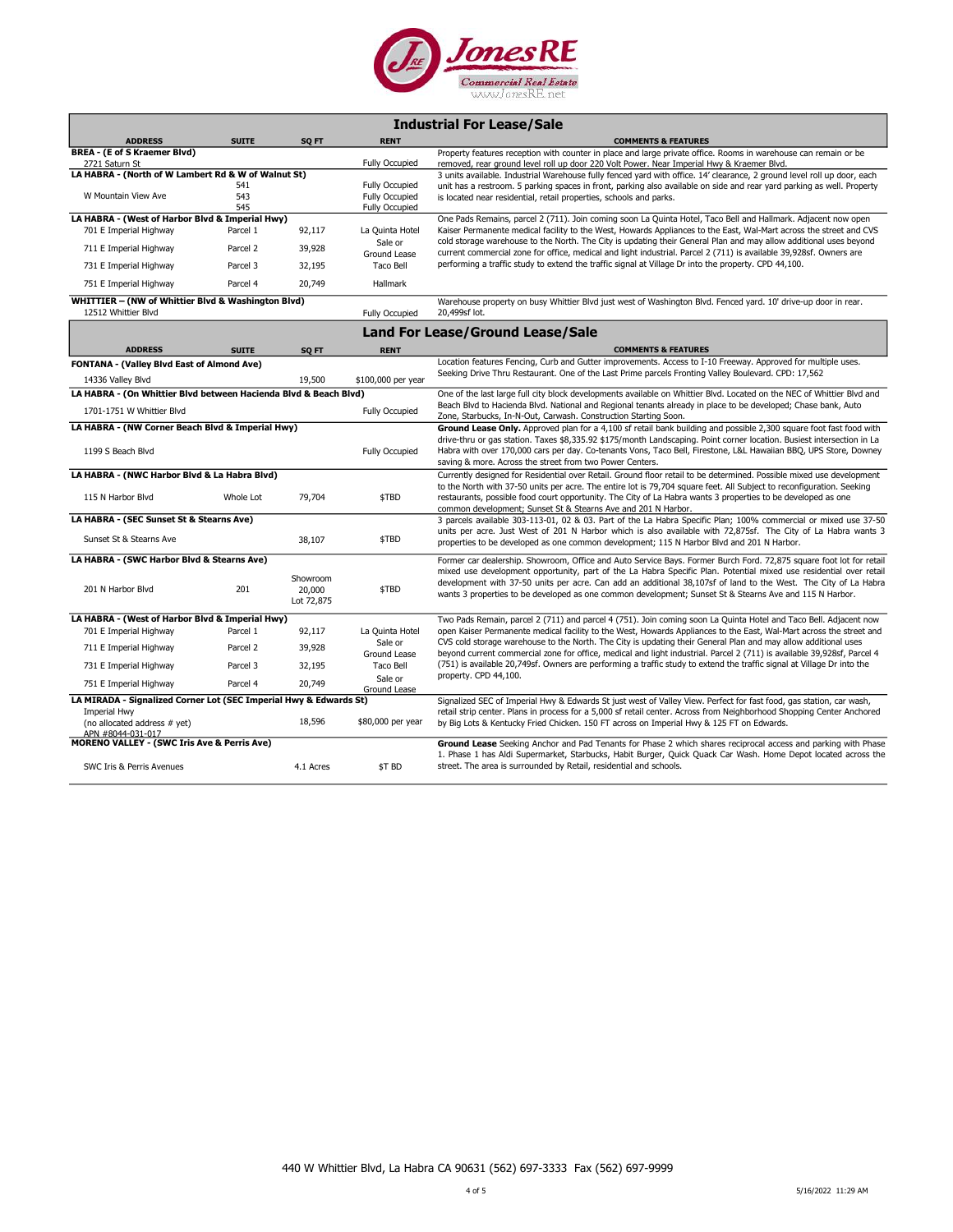

| <b>Industrial For Lease/Sale</b> |  |  |  |
|----------------------------------|--|--|--|
|----------------------------------|--|--|--|

| Property features reception with counter in place and large private office. Rooms in warehouse can remain or be<br><b>Fully Occupied</b><br>removed, rear ground level roll up door 220 Volt Power. Near Imperial Hwy & Kraemer Blvd.<br>2721 Saturn St<br>LA HABRA - (North of W Lambert Rd & W of Walnut St)<br>3 units available. Industrial Warehouse fully fenced yard with office. 14' clearance, 2 ground level roll up door, each<br><b>Fully Occupied</b><br>541<br>unit has a restroom. 5 parking spaces in front, parking also available on side and rear yard parking as well. Property<br>W Mountain View Ave<br>543<br><b>Fully Occupied</b><br>is located near residential, retail properties, schools and parks.<br>545<br><b>Fully Occupied</b><br>LA HABRA - (West of Harbor Blvd & Imperial Hwy)<br>One Pads Remains, parcel 2 (711). Join coming soon La Quinta Hotel, Taco Bell and Hallmark. Adjacent now open<br>92,117<br>Kaiser Permanente medical facility to the West, Howards Appliances to the East, Wal-Mart across the street and CVS<br>701 E Imperial Highway<br>Parcel 1<br>La Quinta Hotel<br>cold storage warehouse to the North. The City is updating their General Plan and may allow additional uses beyond<br>Sale or<br>39,928<br>711 E Imperial Highway<br>Parcel 2<br>current commercial zone for office, medical and light industrial. Parcel 2 (711) is available 39,928sf. Owners are<br>Ground Lease<br>performing a traffic study to extend the traffic signal at Village Dr into the property. CPD 44,100.<br>Parcel 3<br>32,195<br>Taco Bell<br>731 E Imperial Highway<br>Parcel 4<br>20,749<br>751 E Imperial Highway<br>Hallmark<br>WHITTIER - (NW of Whittier Blvd & Washington Blvd)<br>Warehouse property on busy Whittier Blvd just west of Washington Blvd. Fenced yard. 10' drive-up door in rear.<br>12512 Whittier Blvd<br>20,499sf lot.<br><b>Fully Occupied</b><br><b>Land For Lease/Ground Lease/Sale</b><br><b>ADDRESS</b><br><b>SUITE</b><br>SQ FT<br><b>RENT</b><br><b>COMMENTS &amp; FEATURES</b><br>Location features Fencing, Curb and Gutter improvements. Access to I-10 Freeway. Approved for multiple uses.<br>FONTANA - (Valley Blvd East of Almond Ave)<br>Seeking Drive Thru Restaurant. One of the Last Prime parcels Fronting Valley Boulevard. CPD: 17,562<br>14336 Valley Blvd<br>19,500<br>\$100,000 per year<br>LA HABRA - (On Whittier Blvd between Hacienda Blvd & Beach Blvd)<br>One of the last large full city block developments available on Whittier Blvd. Located on the NEC of Whittier Blvd and<br>Beach Blvd to Hacienda Blvd. National and Regional tenants already in place to be developed; Chase bank, Auto<br>1701-1751 W Whittier Blvd<br><b>Fully Occupied</b><br>Zone, Starbucks, In-N-Out, Carwash. Construction Starting Soon.<br>LA HABRA - (NW Corner Beach Blvd & Imperial Hwy)<br>Ground Lease Only. Approved plan for a 4,100 sf retail bank building and possible 2,300 square foot fast food with<br>drive-thru or gas station. Taxes \$8,335.92 \$175/month Landscaping. Point corner location. Busiest intersection in La<br>Habra with over 170,000 cars per day. Co-tenants Vons, Taco Bell, Firestone, L&L Hawaiian BBQ, UPS Store, Downey<br>1199 S Beach Blvd<br><b>Fully Occupied</b><br>saving & more. Across the street from two Power Centers.<br>LA HABRA - (NWC Harbor Blvd & La Habra Blvd)<br>Currently designed for Residential over Retail. Ground floor retail to be determined. Possible mixed use development<br>to the North with 37-50 units per acre. The entire lot is 79,704 square feet. All Subject to reconfiguration. Seeking<br>79,704<br>\$TBD<br>115 N Harbor Blvd<br>Whole Lot<br>restaurants, possible food court opportunity. The City of La Habra wants 3 properties to be developed as one<br>common development; Sunset St & Stearns Ave and 201 N Harbor.<br>LA HABRA - (SEC Sunset St & Stearns Ave)<br>3 parcels available 303-113-01, 02 & 03. Part of the La Habra Specific Plan; 100% commercial or mixed use 37-50<br>units per acre. Just West of 201 N Harbor which is also available with 72,875sf. The City of La Habra wants 3<br>Sunset St & Stearns Ave<br>38,107<br>\$TBD<br>properties to be developed as one common development; 115 N Harbor Blvd and 201 N Harbor.<br>LA HABRA - (SWC Harbor Blvd & Stearns Ave)<br>Former car dealership. Showroom, Office and Auto Service Bays. Former Burch Ford. 72,875 square foot lot for retail<br>mixed use development opportunity, part of the La Habra Specific Plan. Potential mixed use residential over retail<br>Showroom<br>development with 37-50 units per acre. Can add an additional 38,107sf of land to the West. The City of La Habra<br>\$TBD<br>201 N Harbor Blvd<br>201<br>20,000<br>wants 3 properties to be developed as one common development; Sunset St & Stearns Ave and 115 N Harbor.<br>Lot 72,875<br>LA HABRA - (West of Harbor Blvd & Imperial Hwy)<br>Two Pads Remain, parcel 2 (711) and parcel 4 (751). Join coming soon La Quinta Hotel and Taco Bell. Adjacent now<br>open Kaiser Permanente medical facility to the West, Howards Appliances to the East, Wal-Mart across the street and<br>92,117<br>701 E Imperial Highway<br>Parcel 1<br>La Quinta Hotel<br>CVS cold storage warehouse to the North. The City is updating their General Plan and may allow additional uses<br>Sale or<br>39,928<br>711 E Imperial Highway<br>Parcel 2<br>beyond current commercial zone for office, medical and light industrial. Parcel 2 (711) is available 39,928sf, Parcel 4<br>Ground Lease<br>(751) is available 20,749sf. Owners are performing a traffic study to extend the traffic signal at Village Dr into the<br>731 E Imperial Highway<br>Parcel 3<br>32,195<br>Taco Bell<br>property. CPD 44,100.<br>Sale or<br>751 E Imperial Highway<br>Parcel 4<br>20,749<br>Ground Lease<br>LA MIRADA - Signalized Corner Lot (SEC Imperial Hwy & Edwards St)<br>Signalized SEC of Imperial Hwy & Edwards St just west of Valley View. Perfect for fast food, gas station, car wash,<br>retail strip center. Plans in process for a 5,000 sf retail center. Across from Neighborhood Shopping Center Anchored<br>Imperial Hwy<br>18,596<br>\$80,000 per year<br>(no allocated address # yet)<br>by Big Lots & Kentucky Fried Chicken. 150 FT across on Imperial Hwy & 125 FT on Edwards.<br>APN #8044-031-017<br><b>MORENO VALLEY - (SWC Iris Ave &amp; Perris Ave)</b><br>Ground Lease Seeking Anchor and Pad Tenants for Phase 2 which shares reciprocal access and parking with Phase<br>1. Phase 1 has Aldi Supermarket, Starbucks, Habit Burger, Quick Quack Car Wash. Home Depot located across the<br>\$T BD<br>street. The area is surrounded by Retail, residential and schools.<br>SWC Iris & Perris Avenues<br>4.1 Acres | <b>ADDRESS</b>                      | <b>SUITE</b> | SQ FT | <b>RENT</b> | <b>COMMENTS &amp; FEATURES</b> |
|-----------------------------------------------------------------------------------------------------------------------------------------------------------------------------------------------------------------------------------------------------------------------------------------------------------------------------------------------------------------------------------------------------------------------------------------------------------------------------------------------------------------------------------------------------------------------------------------------------------------------------------------------------------------------------------------------------------------------------------------------------------------------------------------------------------------------------------------------------------------------------------------------------------------------------------------------------------------------------------------------------------------------------------------------------------------------------------------------------------------------------------------------------------------------------------------------------------------------------------------------------------------------------------------------------------------------------------------------------------------------------------------------------------------------------------------------------------------------------------------------------------------------------------------------------------------------------------------------------------------------------------------------------------------------------------------------------------------------------------------------------------------------------------------------------------------------------------------------------------------------------------------------------------------------------------------------------------------------------------------------------------------------------------------------------------------------------------------------------------------------------------------------------------------------------------------------------------------------------------------------------------------------------------------------------------------------------------------------------------------------------------------------------------------------------------------------------------------------------------------------------------------------------------------------------------------------------------------------------------------------------------------------------------------------------------------------------------------------------------------------------------------------------------------------------------------------------------------------------------------------------------------------------------------------------------------------------------------------------------------------------------------------------------------------------------------------------------------------------------------------------------------------------------------------------------------------------------------------------------------------------------------------------------------------------------------------------------------------------------------------------------------------------------------------------------------------------------------------------------------------------------------------------------------------------------------------------------------------------------------------------------------------------------------------------------------------------------------------------------------------------------------------------------------------------------------------------------------------------------------------------------------------------------------------------------------------------------------------------------------------------------------------------------------------------------------------------------------------------------------------------------------------------------------------------------------------------------------------------------------------------------------------------------------------------------------------------------------------------------------------------------------------------------------------------------------------------------------------------------------------------------------------------------------------------------------------------------------------------------------------------------------------------------------------------------------------------------------------------------------------------------------------------------------------------------------------------------------------------------------------------------------------------------------------------------------------------------------------------------------------------------------------------------------------------------------------------------------------------------------------------------------------------------------------------------------------------------------------------------------------------------------------------------------------------------------------------------------------------------------------------------------------------------------------------------------------------------------------------------------------------------------------------------------------------------------------------------------------------------------------------------------------------------------------------------------------------------------------------------------------------------------------------------------------------------------------------------------------------------------------------------------------------------------------------------------------------------------------------------------------------------------------------------------------------------------------------------------------------------------------------------------------------------------------------------------------------------------------------------------------------------------------------------------------------------------------------------------------------------------------------------------------------------------------------------------------------------------------------------------------------------------------------------------------------------------------------------------------------------------------------------------------------------------------------------------------------------------------------------------------------------------------------------------------------------------------------------------------------------------------------|-------------------------------------|--------------|-------|-------------|--------------------------------|
|                                                                                                                                                                                                                                                                                                                                                                                                                                                                                                                                                                                                                                                                                                                                                                                                                                                                                                                                                                                                                                                                                                                                                                                                                                                                                                                                                                                                                                                                                                                                                                                                                                                                                                                                                                                                                                                                                                                                                                                                                                                                                                                                                                                                                                                                                                                                                                                                                                                                                                                                                                                                                                                                                                                                                                                                                                                                                                                                                                                                                                                                                                                                                                                                                                                                                                                                                                                                                                                                                                                                                                                                                                                                                                                                                                                                                                                                                                                                                                                                                                                                                                                                                                                                                                                                                                                                                                                                                                                                                                                                                                                                                                                                                                                                                                                                                                                                                                                                                                                                                                                                                                                                                                                                                                                                                                                                                                                                                                                                                                                                                                                                                                                                                                                                                                                                                                                                                                                                                                                                                                                                                                                                                                                                                                                                                                                                                                                                                                                                                                                                                                                                                                                                                                                                                                                                                                                                             | <b>BREA - (E of S Kraemer Blvd)</b> |              |       |             |                                |
|                                                                                                                                                                                                                                                                                                                                                                                                                                                                                                                                                                                                                                                                                                                                                                                                                                                                                                                                                                                                                                                                                                                                                                                                                                                                                                                                                                                                                                                                                                                                                                                                                                                                                                                                                                                                                                                                                                                                                                                                                                                                                                                                                                                                                                                                                                                                                                                                                                                                                                                                                                                                                                                                                                                                                                                                                                                                                                                                                                                                                                                                                                                                                                                                                                                                                                                                                                                                                                                                                                                                                                                                                                                                                                                                                                                                                                                                                                                                                                                                                                                                                                                                                                                                                                                                                                                                                                                                                                                                                                                                                                                                                                                                                                                                                                                                                                                                                                                                                                                                                                                                                                                                                                                                                                                                                                                                                                                                                                                                                                                                                                                                                                                                                                                                                                                                                                                                                                                                                                                                                                                                                                                                                                                                                                                                                                                                                                                                                                                                                                                                                                                                                                                                                                                                                                                                                                                                             |                                     |              |       |             |                                |
|                                                                                                                                                                                                                                                                                                                                                                                                                                                                                                                                                                                                                                                                                                                                                                                                                                                                                                                                                                                                                                                                                                                                                                                                                                                                                                                                                                                                                                                                                                                                                                                                                                                                                                                                                                                                                                                                                                                                                                                                                                                                                                                                                                                                                                                                                                                                                                                                                                                                                                                                                                                                                                                                                                                                                                                                                                                                                                                                                                                                                                                                                                                                                                                                                                                                                                                                                                                                                                                                                                                                                                                                                                                                                                                                                                                                                                                                                                                                                                                                                                                                                                                                                                                                                                                                                                                                                                                                                                                                                                                                                                                                                                                                                                                                                                                                                                                                                                                                                                                                                                                                                                                                                                                                                                                                                                                                                                                                                                                                                                                                                                                                                                                                                                                                                                                                                                                                                                                                                                                                                                                                                                                                                                                                                                                                                                                                                                                                                                                                                                                                                                                                                                                                                                                                                                                                                                                                             |                                     |              |       |             |                                |
|                                                                                                                                                                                                                                                                                                                                                                                                                                                                                                                                                                                                                                                                                                                                                                                                                                                                                                                                                                                                                                                                                                                                                                                                                                                                                                                                                                                                                                                                                                                                                                                                                                                                                                                                                                                                                                                                                                                                                                                                                                                                                                                                                                                                                                                                                                                                                                                                                                                                                                                                                                                                                                                                                                                                                                                                                                                                                                                                                                                                                                                                                                                                                                                                                                                                                                                                                                                                                                                                                                                                                                                                                                                                                                                                                                                                                                                                                                                                                                                                                                                                                                                                                                                                                                                                                                                                                                                                                                                                                                                                                                                                                                                                                                                                                                                                                                                                                                                                                                                                                                                                                                                                                                                                                                                                                                                                                                                                                                                                                                                                                                                                                                                                                                                                                                                                                                                                                                                                                                                                                                                                                                                                                                                                                                                                                                                                                                                                                                                                                                                                                                                                                                                                                                                                                                                                                                                                             |                                     |              |       |             |                                |
|                                                                                                                                                                                                                                                                                                                                                                                                                                                                                                                                                                                                                                                                                                                                                                                                                                                                                                                                                                                                                                                                                                                                                                                                                                                                                                                                                                                                                                                                                                                                                                                                                                                                                                                                                                                                                                                                                                                                                                                                                                                                                                                                                                                                                                                                                                                                                                                                                                                                                                                                                                                                                                                                                                                                                                                                                                                                                                                                                                                                                                                                                                                                                                                                                                                                                                                                                                                                                                                                                                                                                                                                                                                                                                                                                                                                                                                                                                                                                                                                                                                                                                                                                                                                                                                                                                                                                                                                                                                                                                                                                                                                                                                                                                                                                                                                                                                                                                                                                                                                                                                                                                                                                                                                                                                                                                                                                                                                                                                                                                                                                                                                                                                                                                                                                                                                                                                                                                                                                                                                                                                                                                                                                                                                                                                                                                                                                                                                                                                                                                                                                                                                                                                                                                                                                                                                                                                                             |                                     |              |       |             |                                |
|                                                                                                                                                                                                                                                                                                                                                                                                                                                                                                                                                                                                                                                                                                                                                                                                                                                                                                                                                                                                                                                                                                                                                                                                                                                                                                                                                                                                                                                                                                                                                                                                                                                                                                                                                                                                                                                                                                                                                                                                                                                                                                                                                                                                                                                                                                                                                                                                                                                                                                                                                                                                                                                                                                                                                                                                                                                                                                                                                                                                                                                                                                                                                                                                                                                                                                                                                                                                                                                                                                                                                                                                                                                                                                                                                                                                                                                                                                                                                                                                                                                                                                                                                                                                                                                                                                                                                                                                                                                                                                                                                                                                                                                                                                                                                                                                                                                                                                                                                                                                                                                                                                                                                                                                                                                                                                                                                                                                                                                                                                                                                                                                                                                                                                                                                                                                                                                                                                                                                                                                                                                                                                                                                                                                                                                                                                                                                                                                                                                                                                                                                                                                                                                                                                                                                                                                                                                                             |                                     |              |       |             |                                |
|                                                                                                                                                                                                                                                                                                                                                                                                                                                                                                                                                                                                                                                                                                                                                                                                                                                                                                                                                                                                                                                                                                                                                                                                                                                                                                                                                                                                                                                                                                                                                                                                                                                                                                                                                                                                                                                                                                                                                                                                                                                                                                                                                                                                                                                                                                                                                                                                                                                                                                                                                                                                                                                                                                                                                                                                                                                                                                                                                                                                                                                                                                                                                                                                                                                                                                                                                                                                                                                                                                                                                                                                                                                                                                                                                                                                                                                                                                                                                                                                                                                                                                                                                                                                                                                                                                                                                                                                                                                                                                                                                                                                                                                                                                                                                                                                                                                                                                                                                                                                                                                                                                                                                                                                                                                                                                                                                                                                                                                                                                                                                                                                                                                                                                                                                                                                                                                                                                                                                                                                                                                                                                                                                                                                                                                                                                                                                                                                                                                                                                                                                                                                                                                                                                                                                                                                                                                                             |                                     |              |       |             |                                |
|                                                                                                                                                                                                                                                                                                                                                                                                                                                                                                                                                                                                                                                                                                                                                                                                                                                                                                                                                                                                                                                                                                                                                                                                                                                                                                                                                                                                                                                                                                                                                                                                                                                                                                                                                                                                                                                                                                                                                                                                                                                                                                                                                                                                                                                                                                                                                                                                                                                                                                                                                                                                                                                                                                                                                                                                                                                                                                                                                                                                                                                                                                                                                                                                                                                                                                                                                                                                                                                                                                                                                                                                                                                                                                                                                                                                                                                                                                                                                                                                                                                                                                                                                                                                                                                                                                                                                                                                                                                                                                                                                                                                                                                                                                                                                                                                                                                                                                                                                                                                                                                                                                                                                                                                                                                                                                                                                                                                                                                                                                                                                                                                                                                                                                                                                                                                                                                                                                                                                                                                                                                                                                                                                                                                                                                                                                                                                                                                                                                                                                                                                                                                                                                                                                                                                                                                                                                                             |                                     |              |       |             |                                |
|                                                                                                                                                                                                                                                                                                                                                                                                                                                                                                                                                                                                                                                                                                                                                                                                                                                                                                                                                                                                                                                                                                                                                                                                                                                                                                                                                                                                                                                                                                                                                                                                                                                                                                                                                                                                                                                                                                                                                                                                                                                                                                                                                                                                                                                                                                                                                                                                                                                                                                                                                                                                                                                                                                                                                                                                                                                                                                                                                                                                                                                                                                                                                                                                                                                                                                                                                                                                                                                                                                                                                                                                                                                                                                                                                                                                                                                                                                                                                                                                                                                                                                                                                                                                                                                                                                                                                                                                                                                                                                                                                                                                                                                                                                                                                                                                                                                                                                                                                                                                                                                                                                                                                                                                                                                                                                                                                                                                                                                                                                                                                                                                                                                                                                                                                                                                                                                                                                                                                                                                                                                                                                                                                                                                                                                                                                                                                                                                                                                                                                                                                                                                                                                                                                                                                                                                                                                                             |                                     |              |       |             |                                |
|                                                                                                                                                                                                                                                                                                                                                                                                                                                                                                                                                                                                                                                                                                                                                                                                                                                                                                                                                                                                                                                                                                                                                                                                                                                                                                                                                                                                                                                                                                                                                                                                                                                                                                                                                                                                                                                                                                                                                                                                                                                                                                                                                                                                                                                                                                                                                                                                                                                                                                                                                                                                                                                                                                                                                                                                                                                                                                                                                                                                                                                                                                                                                                                                                                                                                                                                                                                                                                                                                                                                                                                                                                                                                                                                                                                                                                                                                                                                                                                                                                                                                                                                                                                                                                                                                                                                                                                                                                                                                                                                                                                                                                                                                                                                                                                                                                                                                                                                                                                                                                                                                                                                                                                                                                                                                                                                                                                                                                                                                                                                                                                                                                                                                                                                                                                                                                                                                                                                                                                                                                                                                                                                                                                                                                                                                                                                                                                                                                                                                                                                                                                                                                                                                                                                                                                                                                                                             |                                     |              |       |             |                                |
|                                                                                                                                                                                                                                                                                                                                                                                                                                                                                                                                                                                                                                                                                                                                                                                                                                                                                                                                                                                                                                                                                                                                                                                                                                                                                                                                                                                                                                                                                                                                                                                                                                                                                                                                                                                                                                                                                                                                                                                                                                                                                                                                                                                                                                                                                                                                                                                                                                                                                                                                                                                                                                                                                                                                                                                                                                                                                                                                                                                                                                                                                                                                                                                                                                                                                                                                                                                                                                                                                                                                                                                                                                                                                                                                                                                                                                                                                                                                                                                                                                                                                                                                                                                                                                                                                                                                                                                                                                                                                                                                                                                                                                                                                                                                                                                                                                                                                                                                                                                                                                                                                                                                                                                                                                                                                                                                                                                                                                                                                                                                                                                                                                                                                                                                                                                                                                                                                                                                                                                                                                                                                                                                                                                                                                                                                                                                                                                                                                                                                                                                                                                                                                                                                                                                                                                                                                                                             |                                     |              |       |             |                                |
|                                                                                                                                                                                                                                                                                                                                                                                                                                                                                                                                                                                                                                                                                                                                                                                                                                                                                                                                                                                                                                                                                                                                                                                                                                                                                                                                                                                                                                                                                                                                                                                                                                                                                                                                                                                                                                                                                                                                                                                                                                                                                                                                                                                                                                                                                                                                                                                                                                                                                                                                                                                                                                                                                                                                                                                                                                                                                                                                                                                                                                                                                                                                                                                                                                                                                                                                                                                                                                                                                                                                                                                                                                                                                                                                                                                                                                                                                                                                                                                                                                                                                                                                                                                                                                                                                                                                                                                                                                                                                                                                                                                                                                                                                                                                                                                                                                                                                                                                                                                                                                                                                                                                                                                                                                                                                                                                                                                                                                                                                                                                                                                                                                                                                                                                                                                                                                                                                                                                                                                                                                                                                                                                                                                                                                                                                                                                                                                                                                                                                                                                                                                                                                                                                                                                                                                                                                                                             |                                     |              |       |             |                                |
|                                                                                                                                                                                                                                                                                                                                                                                                                                                                                                                                                                                                                                                                                                                                                                                                                                                                                                                                                                                                                                                                                                                                                                                                                                                                                                                                                                                                                                                                                                                                                                                                                                                                                                                                                                                                                                                                                                                                                                                                                                                                                                                                                                                                                                                                                                                                                                                                                                                                                                                                                                                                                                                                                                                                                                                                                                                                                                                                                                                                                                                                                                                                                                                                                                                                                                                                                                                                                                                                                                                                                                                                                                                                                                                                                                                                                                                                                                                                                                                                                                                                                                                                                                                                                                                                                                                                                                                                                                                                                                                                                                                                                                                                                                                                                                                                                                                                                                                                                                                                                                                                                                                                                                                                                                                                                                                                                                                                                                                                                                                                                                                                                                                                                                                                                                                                                                                                                                                                                                                                                                                                                                                                                                                                                                                                                                                                                                                                                                                                                                                                                                                                                                                                                                                                                                                                                                                                             |                                     |              |       |             |                                |
|                                                                                                                                                                                                                                                                                                                                                                                                                                                                                                                                                                                                                                                                                                                                                                                                                                                                                                                                                                                                                                                                                                                                                                                                                                                                                                                                                                                                                                                                                                                                                                                                                                                                                                                                                                                                                                                                                                                                                                                                                                                                                                                                                                                                                                                                                                                                                                                                                                                                                                                                                                                                                                                                                                                                                                                                                                                                                                                                                                                                                                                                                                                                                                                                                                                                                                                                                                                                                                                                                                                                                                                                                                                                                                                                                                                                                                                                                                                                                                                                                                                                                                                                                                                                                                                                                                                                                                                                                                                                                                                                                                                                                                                                                                                                                                                                                                                                                                                                                                                                                                                                                                                                                                                                                                                                                                                                                                                                                                                                                                                                                                                                                                                                                                                                                                                                                                                                                                                                                                                                                                                                                                                                                                                                                                                                                                                                                                                                                                                                                                                                                                                                                                                                                                                                                                                                                                                                             |                                     |              |       |             |                                |
|                                                                                                                                                                                                                                                                                                                                                                                                                                                                                                                                                                                                                                                                                                                                                                                                                                                                                                                                                                                                                                                                                                                                                                                                                                                                                                                                                                                                                                                                                                                                                                                                                                                                                                                                                                                                                                                                                                                                                                                                                                                                                                                                                                                                                                                                                                                                                                                                                                                                                                                                                                                                                                                                                                                                                                                                                                                                                                                                                                                                                                                                                                                                                                                                                                                                                                                                                                                                                                                                                                                                                                                                                                                                                                                                                                                                                                                                                                                                                                                                                                                                                                                                                                                                                                                                                                                                                                                                                                                                                                                                                                                                                                                                                                                                                                                                                                                                                                                                                                                                                                                                                                                                                                                                                                                                                                                                                                                                                                                                                                                                                                                                                                                                                                                                                                                                                                                                                                                                                                                                                                                                                                                                                                                                                                                                                                                                                                                                                                                                                                                                                                                                                                                                                                                                                                                                                                                                             |                                     |              |       |             |                                |
|                                                                                                                                                                                                                                                                                                                                                                                                                                                                                                                                                                                                                                                                                                                                                                                                                                                                                                                                                                                                                                                                                                                                                                                                                                                                                                                                                                                                                                                                                                                                                                                                                                                                                                                                                                                                                                                                                                                                                                                                                                                                                                                                                                                                                                                                                                                                                                                                                                                                                                                                                                                                                                                                                                                                                                                                                                                                                                                                                                                                                                                                                                                                                                                                                                                                                                                                                                                                                                                                                                                                                                                                                                                                                                                                                                                                                                                                                                                                                                                                                                                                                                                                                                                                                                                                                                                                                                                                                                                                                                                                                                                                                                                                                                                                                                                                                                                                                                                                                                                                                                                                                                                                                                                                                                                                                                                                                                                                                                                                                                                                                                                                                                                                                                                                                                                                                                                                                                                                                                                                                                                                                                                                                                                                                                                                                                                                                                                                                                                                                                                                                                                                                                                                                                                                                                                                                                                                             |                                     |              |       |             |                                |
|                                                                                                                                                                                                                                                                                                                                                                                                                                                                                                                                                                                                                                                                                                                                                                                                                                                                                                                                                                                                                                                                                                                                                                                                                                                                                                                                                                                                                                                                                                                                                                                                                                                                                                                                                                                                                                                                                                                                                                                                                                                                                                                                                                                                                                                                                                                                                                                                                                                                                                                                                                                                                                                                                                                                                                                                                                                                                                                                                                                                                                                                                                                                                                                                                                                                                                                                                                                                                                                                                                                                                                                                                                                                                                                                                                                                                                                                                                                                                                                                                                                                                                                                                                                                                                                                                                                                                                                                                                                                                                                                                                                                                                                                                                                                                                                                                                                                                                                                                                                                                                                                                                                                                                                                                                                                                                                                                                                                                                                                                                                                                                                                                                                                                                                                                                                                                                                                                                                                                                                                                                                                                                                                                                                                                                                                                                                                                                                                                                                                                                                                                                                                                                                                                                                                                                                                                                                                             |                                     |              |       |             |                                |
|                                                                                                                                                                                                                                                                                                                                                                                                                                                                                                                                                                                                                                                                                                                                                                                                                                                                                                                                                                                                                                                                                                                                                                                                                                                                                                                                                                                                                                                                                                                                                                                                                                                                                                                                                                                                                                                                                                                                                                                                                                                                                                                                                                                                                                                                                                                                                                                                                                                                                                                                                                                                                                                                                                                                                                                                                                                                                                                                                                                                                                                                                                                                                                                                                                                                                                                                                                                                                                                                                                                                                                                                                                                                                                                                                                                                                                                                                                                                                                                                                                                                                                                                                                                                                                                                                                                                                                                                                                                                                                                                                                                                                                                                                                                                                                                                                                                                                                                                                                                                                                                                                                                                                                                                                                                                                                                                                                                                                                                                                                                                                                                                                                                                                                                                                                                                                                                                                                                                                                                                                                                                                                                                                                                                                                                                                                                                                                                                                                                                                                                                                                                                                                                                                                                                                                                                                                                                             |                                     |              |       |             |                                |
|                                                                                                                                                                                                                                                                                                                                                                                                                                                                                                                                                                                                                                                                                                                                                                                                                                                                                                                                                                                                                                                                                                                                                                                                                                                                                                                                                                                                                                                                                                                                                                                                                                                                                                                                                                                                                                                                                                                                                                                                                                                                                                                                                                                                                                                                                                                                                                                                                                                                                                                                                                                                                                                                                                                                                                                                                                                                                                                                                                                                                                                                                                                                                                                                                                                                                                                                                                                                                                                                                                                                                                                                                                                                                                                                                                                                                                                                                                                                                                                                                                                                                                                                                                                                                                                                                                                                                                                                                                                                                                                                                                                                                                                                                                                                                                                                                                                                                                                                                                                                                                                                                                                                                                                                                                                                                                                                                                                                                                                                                                                                                                                                                                                                                                                                                                                                                                                                                                                                                                                                                                                                                                                                                                                                                                                                                                                                                                                                                                                                                                                                                                                                                                                                                                                                                                                                                                                                             |                                     |              |       |             |                                |
|                                                                                                                                                                                                                                                                                                                                                                                                                                                                                                                                                                                                                                                                                                                                                                                                                                                                                                                                                                                                                                                                                                                                                                                                                                                                                                                                                                                                                                                                                                                                                                                                                                                                                                                                                                                                                                                                                                                                                                                                                                                                                                                                                                                                                                                                                                                                                                                                                                                                                                                                                                                                                                                                                                                                                                                                                                                                                                                                                                                                                                                                                                                                                                                                                                                                                                                                                                                                                                                                                                                                                                                                                                                                                                                                                                                                                                                                                                                                                                                                                                                                                                                                                                                                                                                                                                                                                                                                                                                                                                                                                                                                                                                                                                                                                                                                                                                                                                                                                                                                                                                                                                                                                                                                                                                                                                                                                                                                                                                                                                                                                                                                                                                                                                                                                                                                                                                                                                                                                                                                                                                                                                                                                                                                                                                                                                                                                                                                                                                                                                                                                                                                                                                                                                                                                                                                                                                                             |                                     |              |       |             |                                |
|                                                                                                                                                                                                                                                                                                                                                                                                                                                                                                                                                                                                                                                                                                                                                                                                                                                                                                                                                                                                                                                                                                                                                                                                                                                                                                                                                                                                                                                                                                                                                                                                                                                                                                                                                                                                                                                                                                                                                                                                                                                                                                                                                                                                                                                                                                                                                                                                                                                                                                                                                                                                                                                                                                                                                                                                                                                                                                                                                                                                                                                                                                                                                                                                                                                                                                                                                                                                                                                                                                                                                                                                                                                                                                                                                                                                                                                                                                                                                                                                                                                                                                                                                                                                                                                                                                                                                                                                                                                                                                                                                                                                                                                                                                                                                                                                                                                                                                                                                                                                                                                                                                                                                                                                                                                                                                                                                                                                                                                                                                                                                                                                                                                                                                                                                                                                                                                                                                                                                                                                                                                                                                                                                                                                                                                                                                                                                                                                                                                                                                                                                                                                                                                                                                                                                                                                                                                                             |                                     |              |       |             |                                |
|                                                                                                                                                                                                                                                                                                                                                                                                                                                                                                                                                                                                                                                                                                                                                                                                                                                                                                                                                                                                                                                                                                                                                                                                                                                                                                                                                                                                                                                                                                                                                                                                                                                                                                                                                                                                                                                                                                                                                                                                                                                                                                                                                                                                                                                                                                                                                                                                                                                                                                                                                                                                                                                                                                                                                                                                                                                                                                                                                                                                                                                                                                                                                                                                                                                                                                                                                                                                                                                                                                                                                                                                                                                                                                                                                                                                                                                                                                                                                                                                                                                                                                                                                                                                                                                                                                                                                                                                                                                                                                                                                                                                                                                                                                                                                                                                                                                                                                                                                                                                                                                                                                                                                                                                                                                                                                                                                                                                                                                                                                                                                                                                                                                                                                                                                                                                                                                                                                                                                                                                                                                                                                                                                                                                                                                                                                                                                                                                                                                                                                                                                                                                                                                                                                                                                                                                                                                                             |                                     |              |       |             |                                |
|                                                                                                                                                                                                                                                                                                                                                                                                                                                                                                                                                                                                                                                                                                                                                                                                                                                                                                                                                                                                                                                                                                                                                                                                                                                                                                                                                                                                                                                                                                                                                                                                                                                                                                                                                                                                                                                                                                                                                                                                                                                                                                                                                                                                                                                                                                                                                                                                                                                                                                                                                                                                                                                                                                                                                                                                                                                                                                                                                                                                                                                                                                                                                                                                                                                                                                                                                                                                                                                                                                                                                                                                                                                                                                                                                                                                                                                                                                                                                                                                                                                                                                                                                                                                                                                                                                                                                                                                                                                                                                                                                                                                                                                                                                                                                                                                                                                                                                                                                                                                                                                                                                                                                                                                                                                                                                                                                                                                                                                                                                                                                                                                                                                                                                                                                                                                                                                                                                                                                                                                                                                                                                                                                                                                                                                                                                                                                                                                                                                                                                                                                                                                                                                                                                                                                                                                                                                                             |                                     |              |       |             |                                |
|                                                                                                                                                                                                                                                                                                                                                                                                                                                                                                                                                                                                                                                                                                                                                                                                                                                                                                                                                                                                                                                                                                                                                                                                                                                                                                                                                                                                                                                                                                                                                                                                                                                                                                                                                                                                                                                                                                                                                                                                                                                                                                                                                                                                                                                                                                                                                                                                                                                                                                                                                                                                                                                                                                                                                                                                                                                                                                                                                                                                                                                                                                                                                                                                                                                                                                                                                                                                                                                                                                                                                                                                                                                                                                                                                                                                                                                                                                                                                                                                                                                                                                                                                                                                                                                                                                                                                                                                                                                                                                                                                                                                                                                                                                                                                                                                                                                                                                                                                                                                                                                                                                                                                                                                                                                                                                                                                                                                                                                                                                                                                                                                                                                                                                                                                                                                                                                                                                                                                                                                                                                                                                                                                                                                                                                                                                                                                                                                                                                                                                                                                                                                                                                                                                                                                                                                                                                                             |                                     |              |       |             |                                |
|                                                                                                                                                                                                                                                                                                                                                                                                                                                                                                                                                                                                                                                                                                                                                                                                                                                                                                                                                                                                                                                                                                                                                                                                                                                                                                                                                                                                                                                                                                                                                                                                                                                                                                                                                                                                                                                                                                                                                                                                                                                                                                                                                                                                                                                                                                                                                                                                                                                                                                                                                                                                                                                                                                                                                                                                                                                                                                                                                                                                                                                                                                                                                                                                                                                                                                                                                                                                                                                                                                                                                                                                                                                                                                                                                                                                                                                                                                                                                                                                                                                                                                                                                                                                                                                                                                                                                                                                                                                                                                                                                                                                                                                                                                                                                                                                                                                                                                                                                                                                                                                                                                                                                                                                                                                                                                                                                                                                                                                                                                                                                                                                                                                                                                                                                                                                                                                                                                                                                                                                                                                                                                                                                                                                                                                                                                                                                                                                                                                                                                                                                                                                                                                                                                                                                                                                                                                                             |                                     |              |       |             |                                |
|                                                                                                                                                                                                                                                                                                                                                                                                                                                                                                                                                                                                                                                                                                                                                                                                                                                                                                                                                                                                                                                                                                                                                                                                                                                                                                                                                                                                                                                                                                                                                                                                                                                                                                                                                                                                                                                                                                                                                                                                                                                                                                                                                                                                                                                                                                                                                                                                                                                                                                                                                                                                                                                                                                                                                                                                                                                                                                                                                                                                                                                                                                                                                                                                                                                                                                                                                                                                                                                                                                                                                                                                                                                                                                                                                                                                                                                                                                                                                                                                                                                                                                                                                                                                                                                                                                                                                                                                                                                                                                                                                                                                                                                                                                                                                                                                                                                                                                                                                                                                                                                                                                                                                                                                                                                                                                                                                                                                                                                                                                                                                                                                                                                                                                                                                                                                                                                                                                                                                                                                                                                                                                                                                                                                                                                                                                                                                                                                                                                                                                                                                                                                                                                                                                                                                                                                                                                                             |                                     |              |       |             |                                |
|                                                                                                                                                                                                                                                                                                                                                                                                                                                                                                                                                                                                                                                                                                                                                                                                                                                                                                                                                                                                                                                                                                                                                                                                                                                                                                                                                                                                                                                                                                                                                                                                                                                                                                                                                                                                                                                                                                                                                                                                                                                                                                                                                                                                                                                                                                                                                                                                                                                                                                                                                                                                                                                                                                                                                                                                                                                                                                                                                                                                                                                                                                                                                                                                                                                                                                                                                                                                                                                                                                                                                                                                                                                                                                                                                                                                                                                                                                                                                                                                                                                                                                                                                                                                                                                                                                                                                                                                                                                                                                                                                                                                                                                                                                                                                                                                                                                                                                                                                                                                                                                                                                                                                                                                                                                                                                                                                                                                                                                                                                                                                                                                                                                                                                                                                                                                                                                                                                                                                                                                                                                                                                                                                                                                                                                                                                                                                                                                                                                                                                                                                                                                                                                                                                                                                                                                                                                                             |                                     |              |       |             |                                |
|                                                                                                                                                                                                                                                                                                                                                                                                                                                                                                                                                                                                                                                                                                                                                                                                                                                                                                                                                                                                                                                                                                                                                                                                                                                                                                                                                                                                                                                                                                                                                                                                                                                                                                                                                                                                                                                                                                                                                                                                                                                                                                                                                                                                                                                                                                                                                                                                                                                                                                                                                                                                                                                                                                                                                                                                                                                                                                                                                                                                                                                                                                                                                                                                                                                                                                                                                                                                                                                                                                                                                                                                                                                                                                                                                                                                                                                                                                                                                                                                                                                                                                                                                                                                                                                                                                                                                                                                                                                                                                                                                                                                                                                                                                                                                                                                                                                                                                                                                                                                                                                                                                                                                                                                                                                                                                                                                                                                                                                                                                                                                                                                                                                                                                                                                                                                                                                                                                                                                                                                                                                                                                                                                                                                                                                                                                                                                                                                                                                                                                                                                                                                                                                                                                                                                                                                                                                                             |                                     |              |       |             |                                |
|                                                                                                                                                                                                                                                                                                                                                                                                                                                                                                                                                                                                                                                                                                                                                                                                                                                                                                                                                                                                                                                                                                                                                                                                                                                                                                                                                                                                                                                                                                                                                                                                                                                                                                                                                                                                                                                                                                                                                                                                                                                                                                                                                                                                                                                                                                                                                                                                                                                                                                                                                                                                                                                                                                                                                                                                                                                                                                                                                                                                                                                                                                                                                                                                                                                                                                                                                                                                                                                                                                                                                                                                                                                                                                                                                                                                                                                                                                                                                                                                                                                                                                                                                                                                                                                                                                                                                                                                                                                                                                                                                                                                                                                                                                                                                                                                                                                                                                                                                                                                                                                                                                                                                                                                                                                                                                                                                                                                                                                                                                                                                                                                                                                                                                                                                                                                                                                                                                                                                                                                                                                                                                                                                                                                                                                                                                                                                                                                                                                                                                                                                                                                                                                                                                                                                                                                                                                                             |                                     |              |       |             |                                |
|                                                                                                                                                                                                                                                                                                                                                                                                                                                                                                                                                                                                                                                                                                                                                                                                                                                                                                                                                                                                                                                                                                                                                                                                                                                                                                                                                                                                                                                                                                                                                                                                                                                                                                                                                                                                                                                                                                                                                                                                                                                                                                                                                                                                                                                                                                                                                                                                                                                                                                                                                                                                                                                                                                                                                                                                                                                                                                                                                                                                                                                                                                                                                                                                                                                                                                                                                                                                                                                                                                                                                                                                                                                                                                                                                                                                                                                                                                                                                                                                                                                                                                                                                                                                                                                                                                                                                                                                                                                                                                                                                                                                                                                                                                                                                                                                                                                                                                                                                                                                                                                                                                                                                                                                                                                                                                                                                                                                                                                                                                                                                                                                                                                                                                                                                                                                                                                                                                                                                                                                                                                                                                                                                                                                                                                                                                                                                                                                                                                                                                                                                                                                                                                                                                                                                                                                                                                                             |                                     |              |       |             |                                |
|                                                                                                                                                                                                                                                                                                                                                                                                                                                                                                                                                                                                                                                                                                                                                                                                                                                                                                                                                                                                                                                                                                                                                                                                                                                                                                                                                                                                                                                                                                                                                                                                                                                                                                                                                                                                                                                                                                                                                                                                                                                                                                                                                                                                                                                                                                                                                                                                                                                                                                                                                                                                                                                                                                                                                                                                                                                                                                                                                                                                                                                                                                                                                                                                                                                                                                                                                                                                                                                                                                                                                                                                                                                                                                                                                                                                                                                                                                                                                                                                                                                                                                                                                                                                                                                                                                                                                                                                                                                                                                                                                                                                                                                                                                                                                                                                                                                                                                                                                                                                                                                                                                                                                                                                                                                                                                                                                                                                                                                                                                                                                                                                                                                                                                                                                                                                                                                                                                                                                                                                                                                                                                                                                                                                                                                                                                                                                                                                                                                                                                                                                                                                                                                                                                                                                                                                                                                                             |                                     |              |       |             |                                |
|                                                                                                                                                                                                                                                                                                                                                                                                                                                                                                                                                                                                                                                                                                                                                                                                                                                                                                                                                                                                                                                                                                                                                                                                                                                                                                                                                                                                                                                                                                                                                                                                                                                                                                                                                                                                                                                                                                                                                                                                                                                                                                                                                                                                                                                                                                                                                                                                                                                                                                                                                                                                                                                                                                                                                                                                                                                                                                                                                                                                                                                                                                                                                                                                                                                                                                                                                                                                                                                                                                                                                                                                                                                                                                                                                                                                                                                                                                                                                                                                                                                                                                                                                                                                                                                                                                                                                                                                                                                                                                                                                                                                                                                                                                                                                                                                                                                                                                                                                                                                                                                                                                                                                                                                                                                                                                                                                                                                                                                                                                                                                                                                                                                                                                                                                                                                                                                                                                                                                                                                                                                                                                                                                                                                                                                                                                                                                                                                                                                                                                                                                                                                                                                                                                                                                                                                                                                                             |                                     |              |       |             |                                |
|                                                                                                                                                                                                                                                                                                                                                                                                                                                                                                                                                                                                                                                                                                                                                                                                                                                                                                                                                                                                                                                                                                                                                                                                                                                                                                                                                                                                                                                                                                                                                                                                                                                                                                                                                                                                                                                                                                                                                                                                                                                                                                                                                                                                                                                                                                                                                                                                                                                                                                                                                                                                                                                                                                                                                                                                                                                                                                                                                                                                                                                                                                                                                                                                                                                                                                                                                                                                                                                                                                                                                                                                                                                                                                                                                                                                                                                                                                                                                                                                                                                                                                                                                                                                                                                                                                                                                                                                                                                                                                                                                                                                                                                                                                                                                                                                                                                                                                                                                                                                                                                                                                                                                                                                                                                                                                                                                                                                                                                                                                                                                                                                                                                                                                                                                                                                                                                                                                                                                                                                                                                                                                                                                                                                                                                                                                                                                                                                                                                                                                                                                                                                                                                                                                                                                                                                                                                                             |                                     |              |       |             |                                |
|                                                                                                                                                                                                                                                                                                                                                                                                                                                                                                                                                                                                                                                                                                                                                                                                                                                                                                                                                                                                                                                                                                                                                                                                                                                                                                                                                                                                                                                                                                                                                                                                                                                                                                                                                                                                                                                                                                                                                                                                                                                                                                                                                                                                                                                                                                                                                                                                                                                                                                                                                                                                                                                                                                                                                                                                                                                                                                                                                                                                                                                                                                                                                                                                                                                                                                                                                                                                                                                                                                                                                                                                                                                                                                                                                                                                                                                                                                                                                                                                                                                                                                                                                                                                                                                                                                                                                                                                                                                                                                                                                                                                                                                                                                                                                                                                                                                                                                                                                                                                                                                                                                                                                                                                                                                                                                                                                                                                                                                                                                                                                                                                                                                                                                                                                                                                                                                                                                                                                                                                                                                                                                                                                                                                                                                                                                                                                                                                                                                                                                                                                                                                                                                                                                                                                                                                                                                                             |                                     |              |       |             |                                |
|                                                                                                                                                                                                                                                                                                                                                                                                                                                                                                                                                                                                                                                                                                                                                                                                                                                                                                                                                                                                                                                                                                                                                                                                                                                                                                                                                                                                                                                                                                                                                                                                                                                                                                                                                                                                                                                                                                                                                                                                                                                                                                                                                                                                                                                                                                                                                                                                                                                                                                                                                                                                                                                                                                                                                                                                                                                                                                                                                                                                                                                                                                                                                                                                                                                                                                                                                                                                                                                                                                                                                                                                                                                                                                                                                                                                                                                                                                                                                                                                                                                                                                                                                                                                                                                                                                                                                                                                                                                                                                                                                                                                                                                                                                                                                                                                                                                                                                                                                                                                                                                                                                                                                                                                                                                                                                                                                                                                                                                                                                                                                                                                                                                                                                                                                                                                                                                                                                                                                                                                                                                                                                                                                                                                                                                                                                                                                                                                                                                                                                                                                                                                                                                                                                                                                                                                                                                                             |                                     |              |       |             |                                |
|                                                                                                                                                                                                                                                                                                                                                                                                                                                                                                                                                                                                                                                                                                                                                                                                                                                                                                                                                                                                                                                                                                                                                                                                                                                                                                                                                                                                                                                                                                                                                                                                                                                                                                                                                                                                                                                                                                                                                                                                                                                                                                                                                                                                                                                                                                                                                                                                                                                                                                                                                                                                                                                                                                                                                                                                                                                                                                                                                                                                                                                                                                                                                                                                                                                                                                                                                                                                                                                                                                                                                                                                                                                                                                                                                                                                                                                                                                                                                                                                                                                                                                                                                                                                                                                                                                                                                                                                                                                                                                                                                                                                                                                                                                                                                                                                                                                                                                                                                                                                                                                                                                                                                                                                                                                                                                                                                                                                                                                                                                                                                                                                                                                                                                                                                                                                                                                                                                                                                                                                                                                                                                                                                                                                                                                                                                                                                                                                                                                                                                                                                                                                                                                                                                                                                                                                                                                                             |                                     |              |       |             |                                |
|                                                                                                                                                                                                                                                                                                                                                                                                                                                                                                                                                                                                                                                                                                                                                                                                                                                                                                                                                                                                                                                                                                                                                                                                                                                                                                                                                                                                                                                                                                                                                                                                                                                                                                                                                                                                                                                                                                                                                                                                                                                                                                                                                                                                                                                                                                                                                                                                                                                                                                                                                                                                                                                                                                                                                                                                                                                                                                                                                                                                                                                                                                                                                                                                                                                                                                                                                                                                                                                                                                                                                                                                                                                                                                                                                                                                                                                                                                                                                                                                                                                                                                                                                                                                                                                                                                                                                                                                                                                                                                                                                                                                                                                                                                                                                                                                                                                                                                                                                                                                                                                                                                                                                                                                                                                                                                                                                                                                                                                                                                                                                                                                                                                                                                                                                                                                                                                                                                                                                                                                                                                                                                                                                                                                                                                                                                                                                                                                                                                                                                                                                                                                                                                                                                                                                                                                                                                                             |                                     |              |       |             |                                |
|                                                                                                                                                                                                                                                                                                                                                                                                                                                                                                                                                                                                                                                                                                                                                                                                                                                                                                                                                                                                                                                                                                                                                                                                                                                                                                                                                                                                                                                                                                                                                                                                                                                                                                                                                                                                                                                                                                                                                                                                                                                                                                                                                                                                                                                                                                                                                                                                                                                                                                                                                                                                                                                                                                                                                                                                                                                                                                                                                                                                                                                                                                                                                                                                                                                                                                                                                                                                                                                                                                                                                                                                                                                                                                                                                                                                                                                                                                                                                                                                                                                                                                                                                                                                                                                                                                                                                                                                                                                                                                                                                                                                                                                                                                                                                                                                                                                                                                                                                                                                                                                                                                                                                                                                                                                                                                                                                                                                                                                                                                                                                                                                                                                                                                                                                                                                                                                                                                                                                                                                                                                                                                                                                                                                                                                                                                                                                                                                                                                                                                                                                                                                                                                                                                                                                                                                                                                                             |                                     |              |       |             |                                |
|                                                                                                                                                                                                                                                                                                                                                                                                                                                                                                                                                                                                                                                                                                                                                                                                                                                                                                                                                                                                                                                                                                                                                                                                                                                                                                                                                                                                                                                                                                                                                                                                                                                                                                                                                                                                                                                                                                                                                                                                                                                                                                                                                                                                                                                                                                                                                                                                                                                                                                                                                                                                                                                                                                                                                                                                                                                                                                                                                                                                                                                                                                                                                                                                                                                                                                                                                                                                                                                                                                                                                                                                                                                                                                                                                                                                                                                                                                                                                                                                                                                                                                                                                                                                                                                                                                                                                                                                                                                                                                                                                                                                                                                                                                                                                                                                                                                                                                                                                                                                                                                                                                                                                                                                                                                                                                                                                                                                                                                                                                                                                                                                                                                                                                                                                                                                                                                                                                                                                                                                                                                                                                                                                                                                                                                                                                                                                                                                                                                                                                                                                                                                                                                                                                                                                                                                                                                                             |                                     |              |       |             |                                |
|                                                                                                                                                                                                                                                                                                                                                                                                                                                                                                                                                                                                                                                                                                                                                                                                                                                                                                                                                                                                                                                                                                                                                                                                                                                                                                                                                                                                                                                                                                                                                                                                                                                                                                                                                                                                                                                                                                                                                                                                                                                                                                                                                                                                                                                                                                                                                                                                                                                                                                                                                                                                                                                                                                                                                                                                                                                                                                                                                                                                                                                                                                                                                                                                                                                                                                                                                                                                                                                                                                                                                                                                                                                                                                                                                                                                                                                                                                                                                                                                                                                                                                                                                                                                                                                                                                                                                                                                                                                                                                                                                                                                                                                                                                                                                                                                                                                                                                                                                                                                                                                                                                                                                                                                                                                                                                                                                                                                                                                                                                                                                                                                                                                                                                                                                                                                                                                                                                                                                                                                                                                                                                                                                                                                                                                                                                                                                                                                                                                                                                                                                                                                                                                                                                                                                                                                                                                                             |                                     |              |       |             |                                |
|                                                                                                                                                                                                                                                                                                                                                                                                                                                                                                                                                                                                                                                                                                                                                                                                                                                                                                                                                                                                                                                                                                                                                                                                                                                                                                                                                                                                                                                                                                                                                                                                                                                                                                                                                                                                                                                                                                                                                                                                                                                                                                                                                                                                                                                                                                                                                                                                                                                                                                                                                                                                                                                                                                                                                                                                                                                                                                                                                                                                                                                                                                                                                                                                                                                                                                                                                                                                                                                                                                                                                                                                                                                                                                                                                                                                                                                                                                                                                                                                                                                                                                                                                                                                                                                                                                                                                                                                                                                                                                                                                                                                                                                                                                                                                                                                                                                                                                                                                                                                                                                                                                                                                                                                                                                                                                                                                                                                                                                                                                                                                                                                                                                                                                                                                                                                                                                                                                                                                                                                                                                                                                                                                                                                                                                                                                                                                                                                                                                                                                                                                                                                                                                                                                                                                                                                                                                                             |                                     |              |       |             |                                |